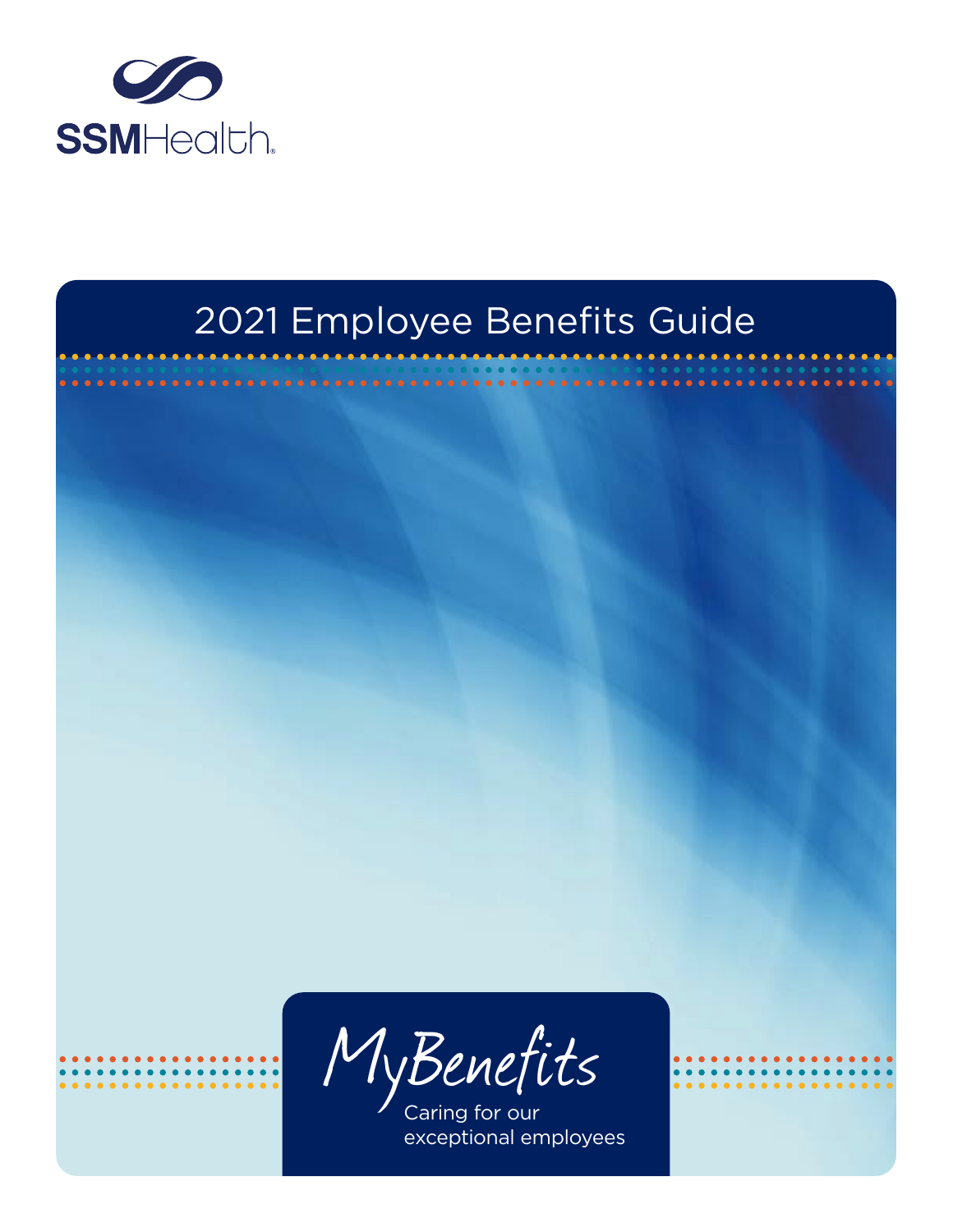

# 2021 Employee Benefits Guide



Caring for our exceptional employees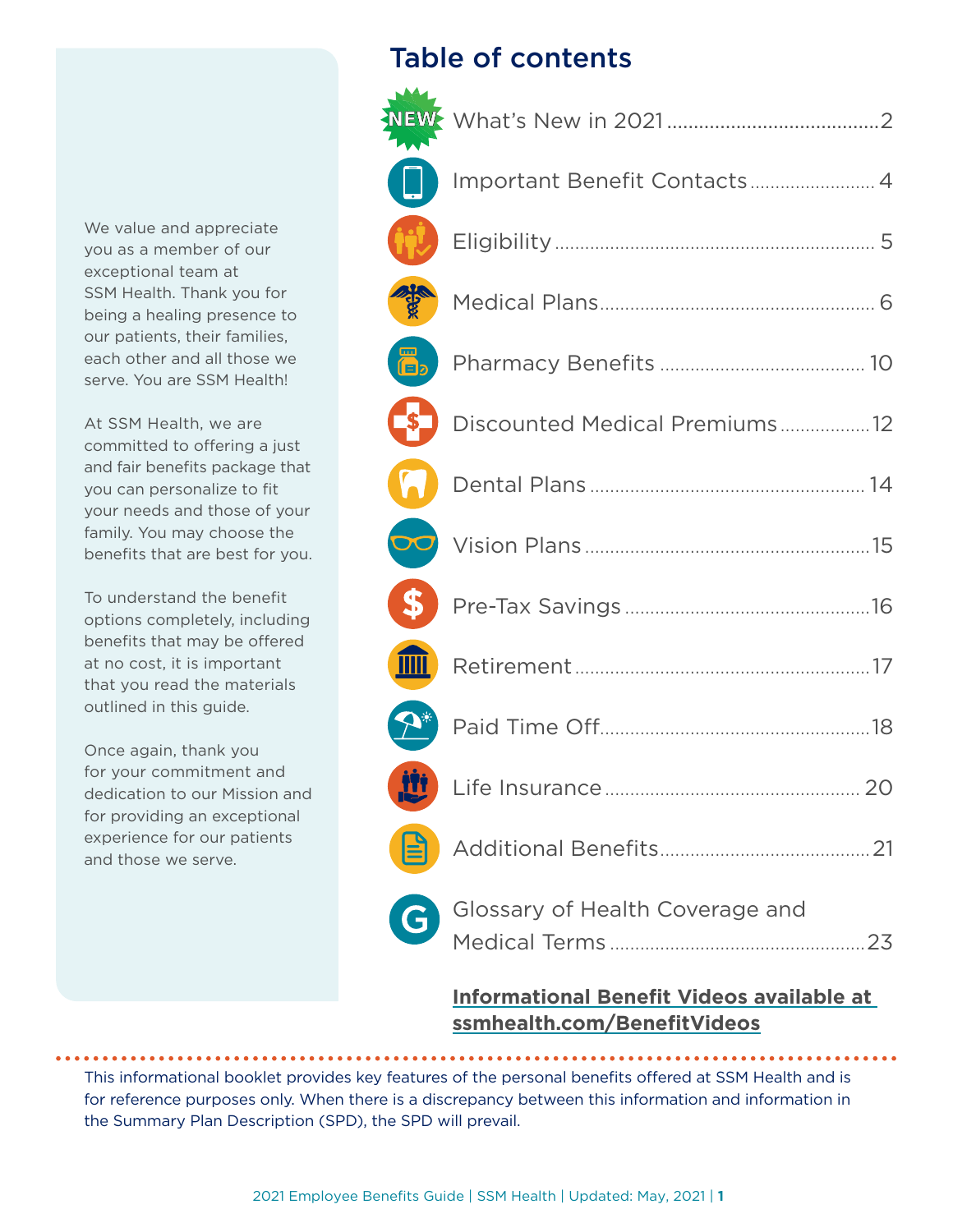We value and appreciate you as a member of our exceptional team at SSM Health. Thank you for being a healing presence to our patients, their families, each other and all those we serve. You are SSM Health!

At SSM Health, we are committed to offering a just and fair benefits package that you can personalize to fit your needs and those of your family. You may choose the benefits that are best for you.

To understand the benefit options completely, including benefits that may be offered at no cost, it is important that you read the materials outlined in this guide.

Once again, thank you for your commitment and dedication to our Mission and for providing an exceptional experience for our patients and those we serve.

### Table of contents

|                                   | Important Benefit Contacts 4           |  |
|-----------------------------------|----------------------------------------|--|
|                                   |                                        |  |
| <b>Right</b>                      |                                        |  |
|                                   |                                        |  |
|                                   | <b>S</b> Discounted Medical Premiums12 |  |
|                                   |                                        |  |
|                                   |                                        |  |
|                                   |                                        |  |
| $\overline{\mathbf{H}\mathbf{H}}$ |                                        |  |
| 9*                                |                                        |  |
| <u>iii </u>                       |                                        |  |
|                                   |                                        |  |
|                                   | Glossary of Health Coverage and        |  |

### **Informational Benefit V[ideos available at](http://www.ssmhealth.com/BenefitVideos)  ssmhealth.c[om/BenefitV](http://www.ssmhealth.com/BenefitVideos)ideos**

This informational booklet provides key features of the personal benefits offered at SSM Health and is for reference purposes only. When there is a discrepancy between this information and information in the Summary Plan Description (SPD), the SPD will prevail.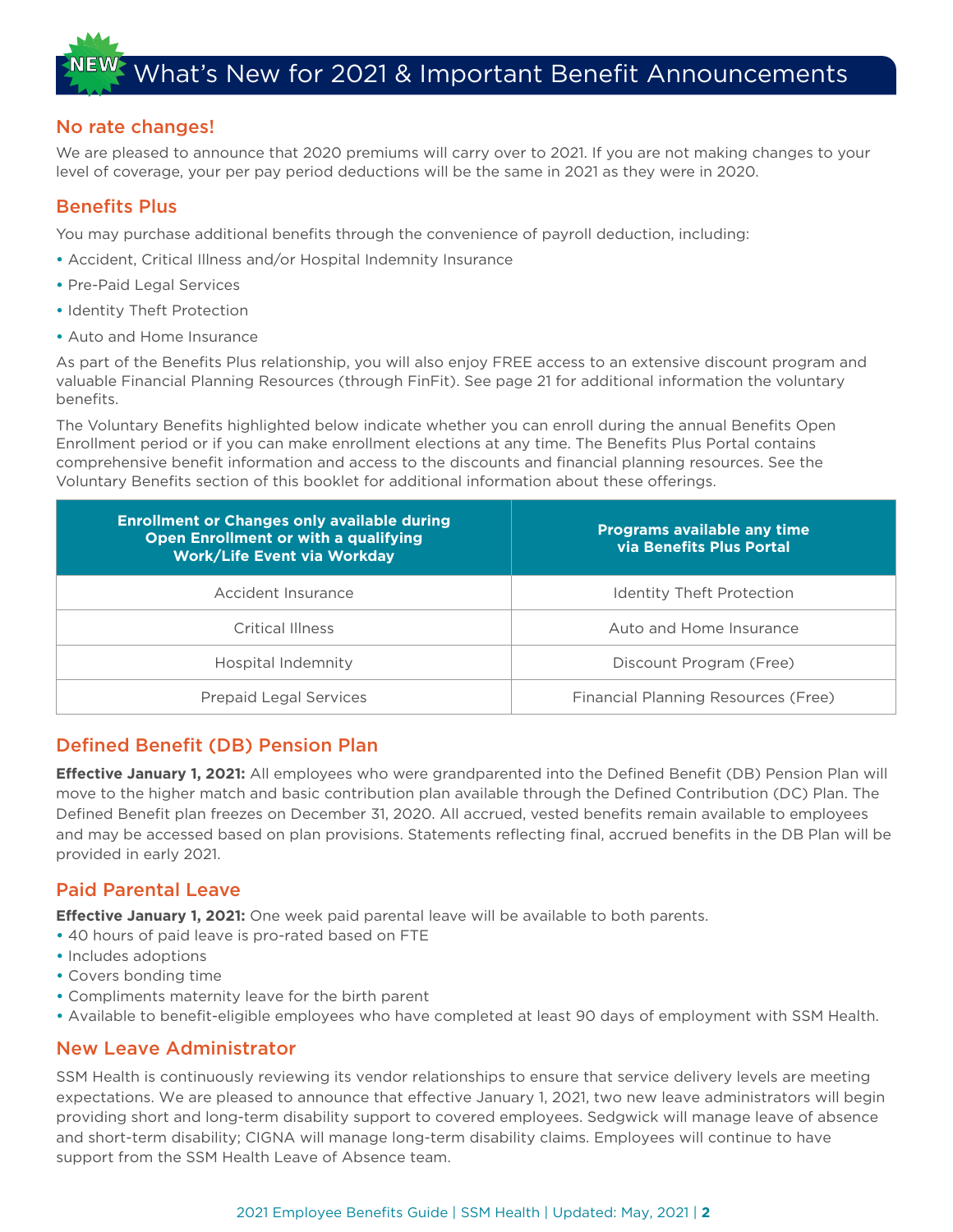### What's New for 2021 & Important Benefit Announcements

### No rate changes!

We are pleased to announce that 2020 premiums will carry over to 2021. If you are not making changes to your level of coverage, your per pay period deductions will be the same in 2021 as they were in 2020.

### Benefits Plus

You may purchase additional benefits through the convenience of payroll deduction, including:

- **•** Accident, Critical Illness and/or Hospital Indemnity Insurance
- **•** Pre-Paid Legal Services
- **•** Identity Theft Protection
- **•** Auto and Home Insurance

As part of the Benefits Plus relationship, you will also enjoy FREE access to an extensive discount program and valuable Financial Planning Resources (through FinFit). See page 21 for additional information the voluntary benefits.

The Voluntary Benefits highlighted below indicate whether you can enroll during the annual Benefits Open Enrollment period or if you can make enrollment elections at any time. The Benefits Plus Portal contains comprehensive benefit information and access to the discounts and financial planning resources. See the Voluntary Benefits section of this booklet for additional information about these offerings.

| <b>Enrollment or Changes only available during</b><br><b>Open Enrollment or with a qualifying</b><br><b>Work/Life Event via Workday</b> | <b>Programs available any time</b><br>via Benefits Plus Portal |
|-----------------------------------------------------------------------------------------------------------------------------------------|----------------------------------------------------------------|
| Accident Insurance                                                                                                                      | <b>Identity Theft Protection</b>                               |
| Critical Illness                                                                                                                        | Auto and Home Insurance                                        |
| Hospital Indemnity                                                                                                                      | Discount Program (Free)                                        |
| <b>Prepaid Legal Services</b>                                                                                                           | Financial Planning Resources (Free)                            |

### Defined Benefit (DB) Pension Plan

**Effective January 1, 2021:** All employees who were grandparented into the Defined Benefit (DB) Pension Plan will move to the higher match and basic contribution plan available through the Defined Contribution (DC) Plan. The Defined Benefit plan freezes on December 31, 2020. All accrued, vested benefits remain available to employees and may be accessed based on plan provisions. Statements reflecting final, accrued benefits in the DB Plan will be provided in early 2021.

### Paid Parental Leave

**Effective January 1, 2021:** One week paid parental leave will be available to both parents.

- **•** 40 hours of paid leave is pro-rated based on FTE
- **•** Includes adoptions
- **•** Covers bonding time
- **•** Compliments maternity leave for the birth parent
- **•** Available to benefit-eligible employees who have completed at least 90 days of employment with SSM Health.

### New Leave Administrator

SSM Health is continuously reviewing its vendor relationships to ensure that service delivery levels are meeting expectations. We are pleased to announce that effective January 1, 2021, two new leave administrators will begin providing short and long-term disability support to covered employees. Sedgwick will manage leave of absence and short-term disability; CIGNA will manage long-term disability claims. Employees will continue to have support from the SSM Health Leave of Absence team.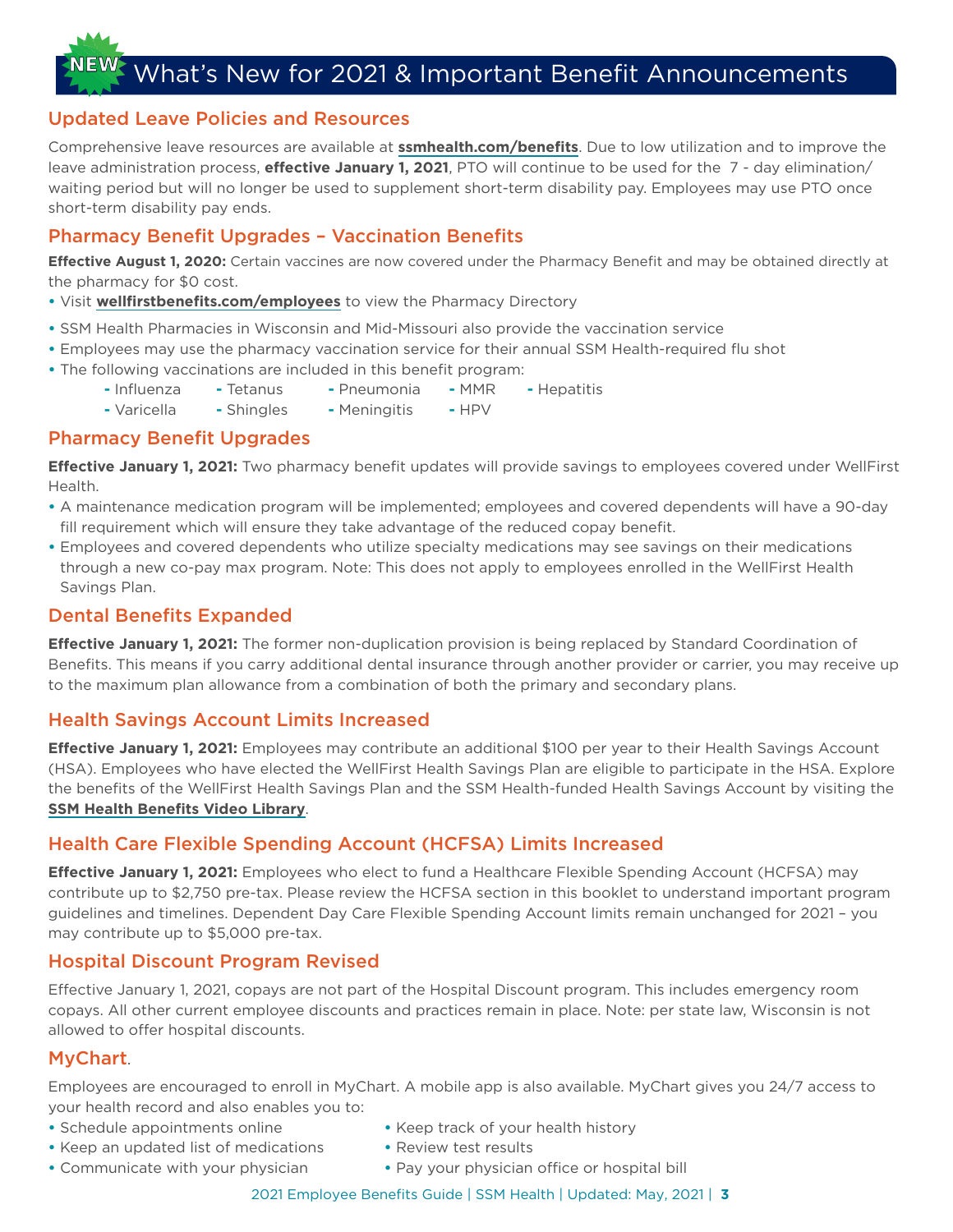### What's New for 2021 & Important Benefit Announcements

### Updated Leave Policies and Resources

Comprehensive leave resources are available at **ssmhealth.c[om/benefits](https://www.ssmhealth.com/employee-benefit-resources)**. Due to low utilization and to improve the leave administration process, **effective January 1, 2021**, PTO will continue to be used for the 7 - day elimination/ waiting period but will no longer be used to supplement short-term disability pay. Employees may use PTO once short-term disability pay ends.

### Pharmacy Benefit Upgrades – Vaccination Benefits

**Effective August 1, 2020:** Certain vaccines are now covered under the Pharmacy Benefit and may be obtained directly at the pharmacy for \$0 cost.

- **•** Visit **wellfirstbenefits.[com/employees](https://www.ssmhealth.com/employee-benefit-resources)** to view the Pharmacy Directory
- **•** SSM Health Pharmacies in Wisconsin and Mid-Missouri also provide the vaccination service
- **•** Employees may use the pharmacy vaccination service for their annual SSM Health-required flu shot
- **•** The following vaccinations are included in this benefit program:
	- **-** Influenza **-** Tetanus **-** Pneumonia **-** MMR **-** Hepatitis
	- **-** Varicella **-** Shingles **-** Meningitis **-** HPV

### Pharmacy Benefit Upgrades

**Effective January 1, 2021:** Two pharmacy benefit updates will provide savings to employees covered under WellFirst Health.

- **•** A maintenance medication program will be implemented; employees and covered dependents will have a 90-day fill requirement which will ensure they take advantage of the reduced copay benefit.
- **•** Employees and covered dependents who utilize specialty medications may see savings on their medications through a new co-pay max program. Note: This does not apply to employees enrolled in the WellFirst Health Savings Plan.

### Dental Benefits Expanded

**Effective January 1, 2021:** The former non-duplication provision is being replaced by Standard Coordination of Benefits. This means if you carry additional dental insurance through another provider or carrier, you may receive up to the maximum plan allowance from a combination of both the primary and secondary plans.

### Health Savings Account Limits Increased

**Effective January 1, 2021:** Employees may contribute an additional \$100 per year to their Health Savings Account (HSA). Employees who have elected the WellFirst Health Savings Plan are eligible to participate in the HSA. Explore the benefits of the WellFirst Health Savings Plan and the SSM Health-funded Health Savings Account by visiting the **S[SM Health Benefits V](http://www.ssmhealth.com/BenefitVideos)ideo Library**.

### Health Care Flexible Spending Account (HCFSA) Limits Increased

**Effective January 1, 2021:** Employees who elect to fund a Healthcare Flexible Spending Account (HCFSA) may contribute up to \$2,750 pre-tax. Please review the HCFSA section in this booklet to understand important program guidelines and timelines. Dependent Day Care Flexible Spending Account limits remain unchanged for 2021 – you may contribute up to \$5,000 pre-tax.

### Hospital Discount Program Revised

Effective January 1, 2021, copays are not part of the Hospital Discount program. This includes emergency room copays. All other current employee discounts and practices remain in place. Note: per state law, Wisconsin is not allowed to offer hospital discounts.

### MyChart.

Employees are encouraged to enroll in MyChart. A mobile app is also available. MyChart gives you 24/7 access to your health record and also enables you to:

- Schedule appointments online **•** Keep track of your health history
- **•** Keep an updated list of medications **•** Review test results
- 
- 
- **•** Communicate with your physician **•** Pay your physician office or hospital bill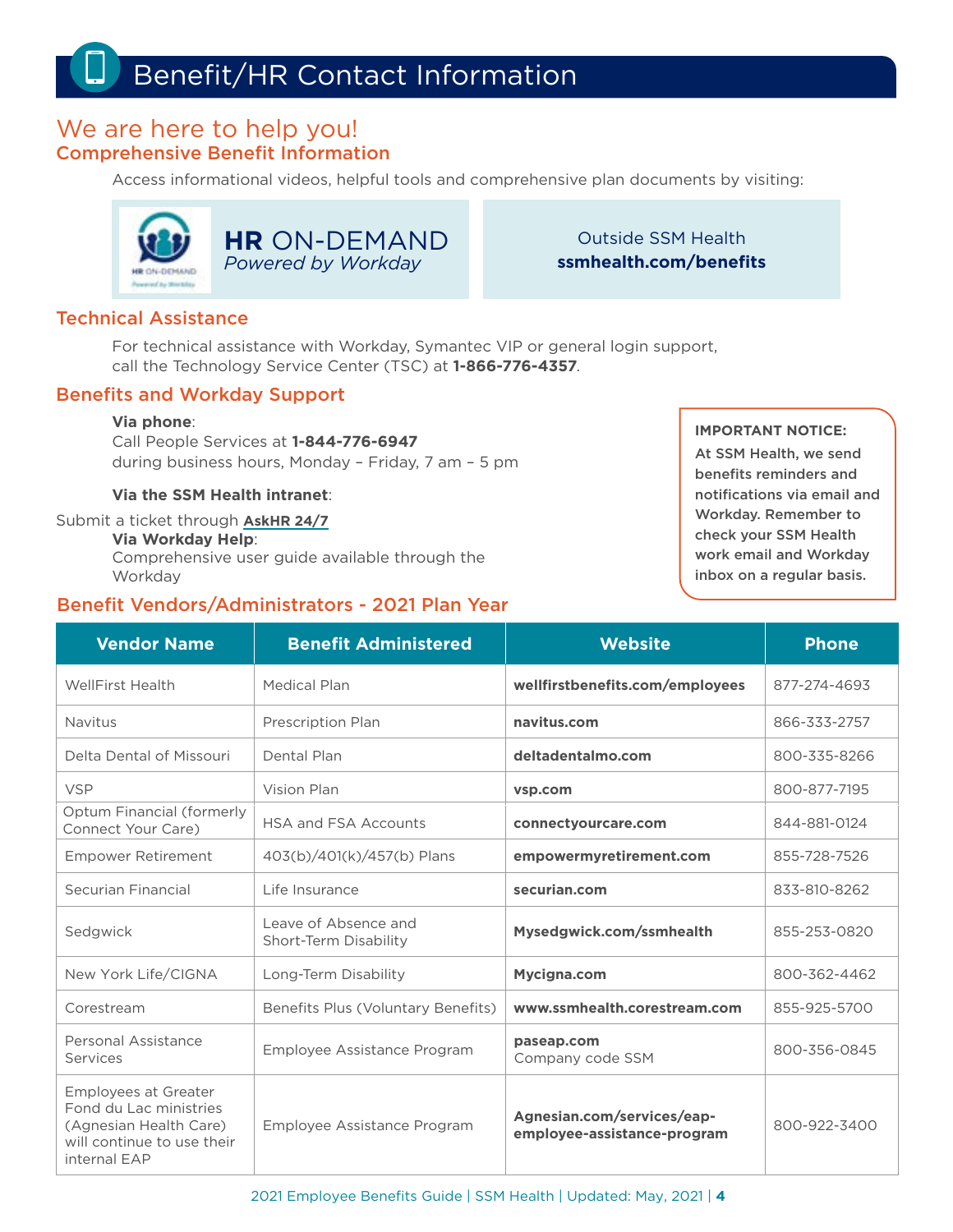# Benefit/HR Contact Information

### We are here to help you! Comprehensive Benefit Information

Access informational videos, helpful tools and comprehensive plan documents by visiting:



**HR** ON-DEMAND *Powered by Workday*

Outside SSM Health **ssmhealth.c[om/benefits](http://ssmhealth.com/benefits)**

### Technical Assistance

For technical assistance with Workday, Symantec VIP or general login support, call the Technology Service Center (TSC) at **1-866-776-4357**.

### Benefits and Workday Support

#### **Via phone**:

Call People Services at **1-844-776-6947** during business hours, Monday – Friday, 7 am – 5 pm

#### **Via the SSM Health intranet**:

#### Submit a ticket through **[AskHR 24/7](https://ssmhcprod.service-now.com/sp?id=hr_issue)**

**Via Workday Help**:

Comprehensive user guide available through the Workday

### Benefit Vendors/Administrators - 2021 Plan Year

### **IMPORTANT NOTICE:**

At SSM Health, we send benefits reminders and notifications via email and Workday. Remember to check your SSM Health work email and Workday inbox on a regular basis.

| <b>Vendor Name</b>                                                                                                            | <b>Benefit Administered</b>                   | <b>Website</b>                                            | <b>Phone</b> |
|-------------------------------------------------------------------------------------------------------------------------------|-----------------------------------------------|-----------------------------------------------------------|--------------|
| <b>WellFirst Health</b>                                                                                                       | Medical Plan                                  | wellfirstbenefits.com/employees                           | 877-274-4693 |
| <b>Navitus</b>                                                                                                                | <b>Prescription Plan</b>                      | navitus.com                                               | 866-333-2757 |
| Delta Dental of Missouri                                                                                                      | Dental Plan                                   | deltadentalmo.com                                         | 800-335-8266 |
| <b>VSP</b>                                                                                                                    | Vision Plan                                   | vsp.com                                                   | 800-877-7195 |
| Optum Financial (formerly<br>Connect Your Care)                                                                               | HSA and FSA Accounts                          | connectyourcare.com                                       | 844-881-0124 |
| <b>Empower Retirement</b>                                                                                                     | 403(b)/401(k)/457(b) Plans                    | empowermyretirement.com                                   | 855-728-7526 |
| Securian Financial                                                                                                            | Life Insurance                                | securian.com                                              | 833-810-8262 |
| Sedgwick                                                                                                                      | Leave of Absence and<br>Short-Term Disability | Mysedgwick.com/ssmhealth                                  | 855-253-0820 |
| New York Life/CIGNA                                                                                                           | Long-Term Disability                          | Mycigna.com                                               | 800-362-4462 |
| Corestream                                                                                                                    | Benefits Plus (Voluntary Benefits)            | www.ssmhealth.corestream.com                              | 855-925-5700 |
| Personal Assistance<br>Services                                                                                               | Employee Assistance Program                   | paseap.com<br>Company code SSM                            | 800-356-0845 |
| <b>Employees at Greater</b><br>Fond du Lac ministries<br>(Agnesian Health Care)<br>will continue to use their<br>internal EAP | Employee Assistance Program                   | Agnesian.com/services/eap-<br>employee-assistance-program | 800-922-3400 |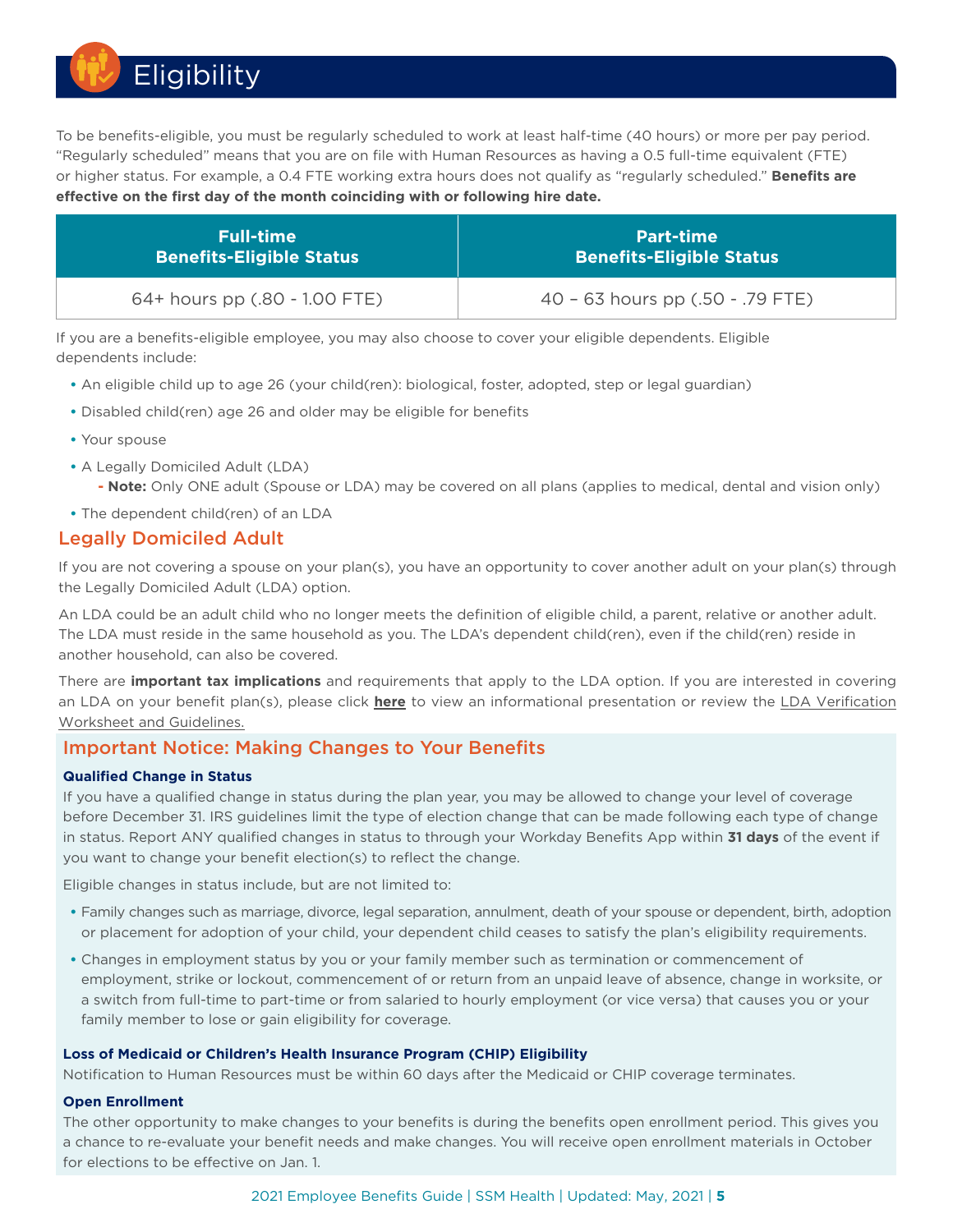

To be benefits-eligible, you must be regularly scheduled to work at least half-time (40 hours) or more per pay period. "Regularly scheduled" means that you are on file with Human Resources as having a 0.5 full-time equivalent (FTE) or higher status. For example, a 0.4 FTE working extra hours does not qualify as "regularly scheduled." **Benefits are effective on the first day of the month coinciding with or following hire date.**

| <b>Full-time</b>                | <b>Part-time</b>                     |  |
|---------------------------------|--------------------------------------|--|
| <b>Benefits-Eligible Status</b> | <b>Benefits-Eligible Status</b>      |  |
| 64+ hours pp (.80 - 1.00 FTE)   | $40 - 63$ hours pp $(.50 - .79$ FTE) |  |

If you are a benefits-eligible employee, you may also choose to cover your eligible dependents. Eligible dependents include:

- **•** An eligible child up to age 26 (your child(ren): biological, foster, adopted, step or legal guardian)
- **•** Disabled child(ren) age 26 and older may be eligible for benefits
- **•** Your spouse
- **•** A Legally Domiciled Adult (LDA)
	- **- Note:** Only ONE adult (Spouse or LDA) may be covered on all plans (applies to medical, dental and vision only)
- **•** The dependent child(ren) of an LDA

### Legally Domiciled Adult

If you are not covering a spouse on your plan(s), you have an opportunity to cover another adult on your plan(s) through the Legally Domiciled Adult (LDA) option.

An LDA could be an adult child who no longer meets the definition of eligible child, a parent, relative or another adult. The LDA must reside in the same household as you. The LDA's dependent child(ren), even if the child(ren) reside in another household, can also be covered.

There are **important tax implications** and requirements that apply to the LDA option. If you are interested in covering an LDA on your benefit plan(s), please click **[here](https://www.ssmhealth.com/BenefitVideos)** to view an informational presentation or review t[he LDA Verification](https://login.ssmhealth.com/MyHR/Shared Documents/Benefit Documents/Dependent_Eligibility_Verification/Legally Domiciled Adult (LDA) Eligibility Guidelines.pdf) [Worksheet and Guidelines.](https://login.ssmhealth.com/MyHR/Shared Documents/Benefit Documents/Dependent_Eligibility_Verification/Legally Domiciled Adult (LDA) Eligibility Guidelines.pdf)

### Important Notice: Making Changes to Your Benefits

#### **Qualified Change in Status**

If you have a qualified change in status during the plan year, you may be allowed to change your level of coverage before December 31. IRS guidelines limit the type of election change that can be made following each type of change in status. Report ANY qualified changes in status to through your Workday Benefits App within **31 days** of the event if you want to change your benefit election(s) to reflect the change.

Eligible changes in status include, but are not limited to:

- **•** Family changes such as marriage, divorce, legal separation, annulment, death of your spouse or dependent, birth, adoption or placement for adoption of your child, your dependent child ceases to satisfy the plan's eligibility requirements.
- **•** Changes in employment status by you or your family member such as termination or commencement of employment, strike or lockout, commencement of or return from an unpaid leave of absence, change in worksite, or a switch from full-time to part-time or from salaried to hourly employment (or vice versa) that causes you or your family member to lose or gain eligibility for coverage.

#### **Loss of Medicaid or Children's Health Insurance Program (CHIP) Eligibility**

Notification to Human Resources must be within 60 days after the Medicaid or CHIP coverage terminates.

#### **Open Enrollment**

The other opportunity to make changes to your benefits is during the benefits open enrollment period. This gives you a chance to re-evaluate your benefit needs and make changes. You will receive open enrollment materials in October for elections to be effective on Jan. 1.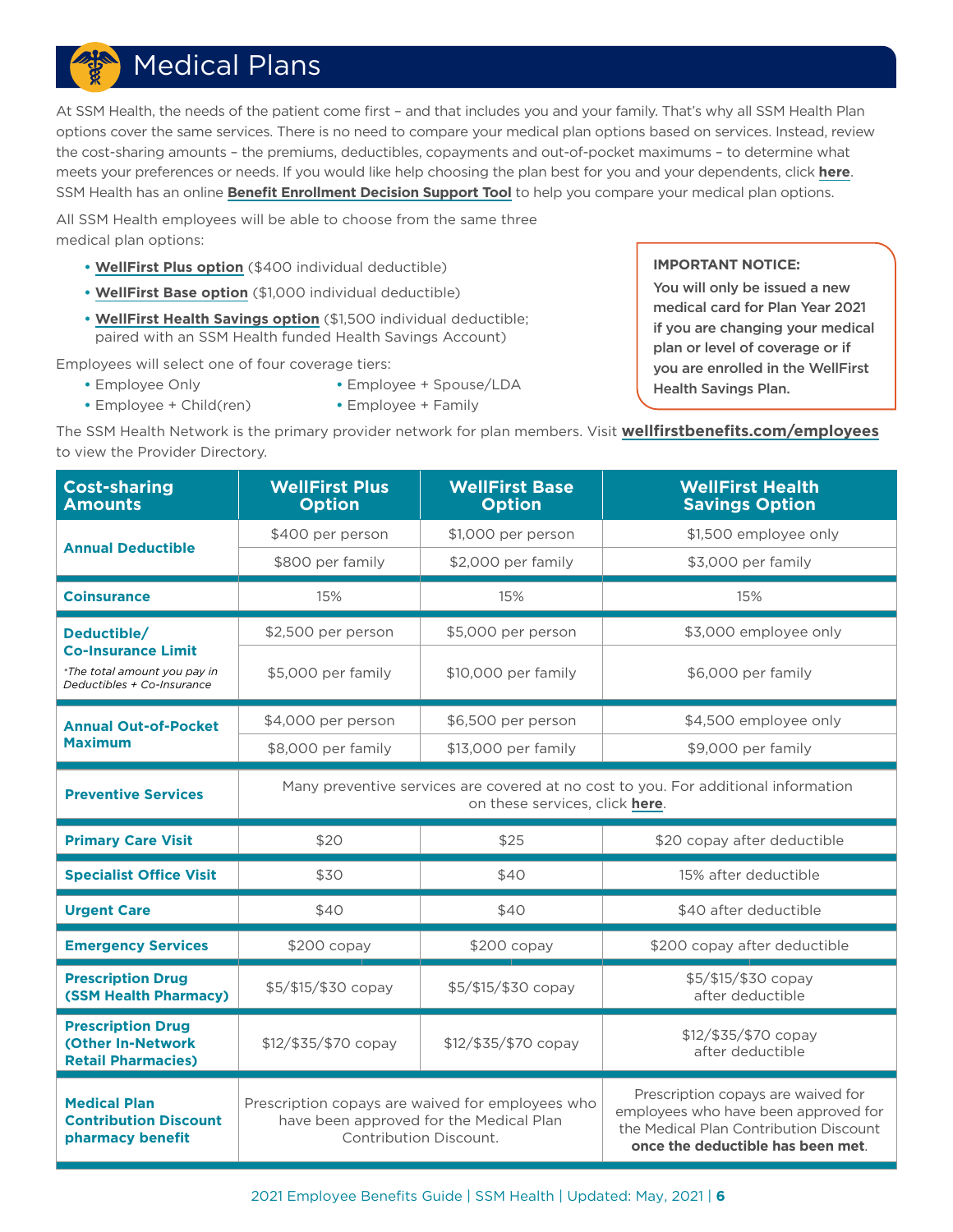### Medical Plans

At SSM Health, the needs of the patient come first – and that includes you and your family. That's why all SSM Health Plan options cover the same services. There is no need to compare your medical plan options based on services. Instead, review the cost-sharing amounts – the premiums, deductibles, copayments and out-of-pocket maximums – to determine what meets your preferences or needs. If you would like help choosing the plan best for you and your dependents, click **[here](http://ssmhealth.benefitsdecision.com)**. SSM Health has an online **Benefit Enr[ollment Decision Support Tool](http://ssmhealth.benefitsdecision.com)** to help you compare your medical plan options.

The SSM Health Network is the primary provider network for plan members. Visit **wellfirstbenefits.[com/employees](https://www.ssmhealth.com/employee-benefit-resources)**

All SSM Health employees will be able to choose from the same three medical plan options:

- **• [WellFirst Plus option](http://www.ssmhealth.com/BenefitVideos)** (\$400 individual deductible)
- **• [WellFirst Base option](http://www.ssmhealth.com/BenefitVideos)** (\$1,000 individual deductible)
- **• [WellFirst Health Savings option](http://www.ssmhealth.com/BenefitVideos)** (\$1,500 individual deductible; paired with an SSM Health funded Health Savings Account)

Employees will select one of four coverage tiers:

to view the Provider Directory.

- **•** Employee Only **•** Employee + Spouse/LDA
- **•** Employee + Child(ren) **•** Employee + Family
- 

**IMPORTANT NOTICE:** 

You will only be issued a new medical card for Plan Year 2021 if you are changing your medical plan or level of coverage or if you are enrolled in the WellFirst Health Savings Plan.

| <b>Cost-sharing</b><br><b>Amounts</b>                                                                                                                                                            | <b>WellFirst Plus</b><br><b>Option</b> | <b>WellFirst Base</b><br><b>Option</b>                                                                                                                    | <b>WellFirst Health</b><br><b>Savings Option</b> |  |
|--------------------------------------------------------------------------------------------------------------------------------------------------------------------------------------------------|----------------------------------------|-----------------------------------------------------------------------------------------------------------------------------------------------------------|--------------------------------------------------|--|
| <b>Annual Deductible</b>                                                                                                                                                                         | \$400 per person                       | \$1,000 per person                                                                                                                                        | \$1,500 employee only                            |  |
|                                                                                                                                                                                                  | \$800 per family                       | \$2,000 per family                                                                                                                                        | \$3,000 per family                               |  |
| <b>Coinsurance</b>                                                                                                                                                                               | 15%                                    | 15%                                                                                                                                                       | 15%                                              |  |
| Deductible/                                                                                                                                                                                      | \$2,500 per person                     | \$5,000 per person                                                                                                                                        | \$3,000 employee only                            |  |
| <b>Co-Insurance Limit</b><br>*The total amount you pay in<br>Deductibles + Co-Insurance                                                                                                          | \$5,000 per family                     | \$10,000 per family                                                                                                                                       | \$6,000 per family                               |  |
| <b>Annual Out-of-Pocket</b>                                                                                                                                                                      | \$4,000 per person                     | \$6,500 per person                                                                                                                                        | \$4,500 employee only                            |  |
| <b>Maximum</b>                                                                                                                                                                                   | \$8,000 per family                     | \$13,000 per family                                                                                                                                       | \$9,000 per family                               |  |
| Many preventive services are covered at no cost to you. For additional information<br><b>Preventive Services</b><br>on these services, click here.                                               |                                        |                                                                                                                                                           |                                                  |  |
| <b>Primary Care Visit</b>                                                                                                                                                                        | \$20                                   | \$25                                                                                                                                                      | \$20 copay after deductible                      |  |
| <b>Specialist Office Visit</b>                                                                                                                                                                   | \$30                                   | \$40                                                                                                                                                      | 15% after deductible                             |  |
| <b>Urgent Care</b>                                                                                                                                                                               | \$40                                   | \$40                                                                                                                                                      | \$40 after deductible                            |  |
| <b>Emergency Services</b>                                                                                                                                                                        | \$200 copay                            | \$200 copay                                                                                                                                               | \$200 copay after deductible                     |  |
| <b>Prescription Drug</b><br>(SSM Health Pharmacy)                                                                                                                                                | \$5/\$15/\$30 copay                    | \$5/\$15/\$30 copay                                                                                                                                       | \$5/\$15/\$30 copay<br>after deductible          |  |
| <b>Prescription Drug</b><br>(Other In-Network<br><b>Retail Pharmacies)</b>                                                                                                                       | $$12/\$35/\$70$ copay                  | \$12/\$35/\$70 copay                                                                                                                                      | \$12/\$35/\$70 copay<br>after deductible         |  |
| <b>Medical Plan</b><br>Prescription copays are waived for employees who<br><b>Contribution Discount</b><br>have been approved for the Medical Plan<br>pharmacy benefit<br>Contribution Discount. |                                        | Prescription copays are waived for<br>employees who have been approved for<br>the Medical Plan Contribution Discount<br>once the deductible has been met. |                                                  |  |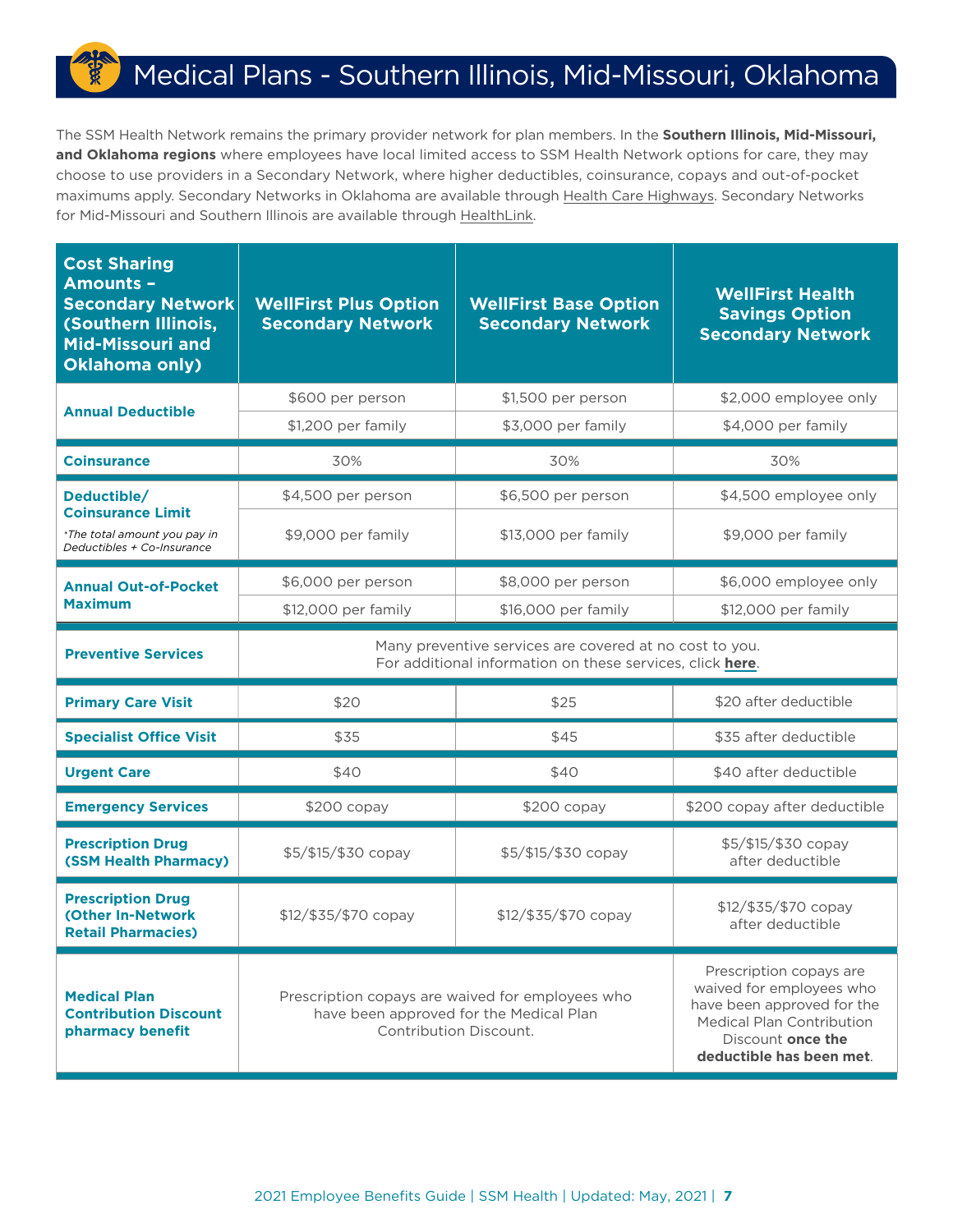## Medical Plans - Southern Illinois, Mid-Missouri, Oklahoma

The SSM Health Network remains the primary provider network for plan members. In the **Southern Illinois, Mid-Missouri, and Oklahoma regions** where employees have local limited access to SSM Health Network options for care, they may choose to use providers in a Secondary Network, where higher deductibles, coinsurance, copays and out-of-pocket maximums apply. Secondary Networks in Oklahoma are available throug[h Health Care Highways.](http://www.hchlogix.com/ProviderSearch) Secondary Networks for Mid-Missouri and Southern Illinois are available through [HealthLink](https://www.healthlink.com/ipf).

| <b>Cost Sharing</b><br><b>Amounts -</b><br><b>Secondary Network</b><br>(Southern Illinois,<br><b>Mid-Missouri and</b><br><b>Oklahoma only)</b> | <b>WellFirst Plus Option</b><br><b>Secondary Network</b>                                                             | <b>WellFirst Base Option</b><br><b>Secondary Network</b>                                                              | <b>WellFirst Health</b><br><b>Savings Option</b><br><b>Secondary Network</b>                                                                                    |  |  |
|------------------------------------------------------------------------------------------------------------------------------------------------|----------------------------------------------------------------------------------------------------------------------|-----------------------------------------------------------------------------------------------------------------------|-----------------------------------------------------------------------------------------------------------------------------------------------------------------|--|--|
| <b>Annual Deductible</b>                                                                                                                       | \$600 per person                                                                                                     | \$1,500 per person                                                                                                    | \$2,000 employee only                                                                                                                                           |  |  |
|                                                                                                                                                | \$1,200 per family                                                                                                   | \$3,000 per family                                                                                                    | \$4,000 per family                                                                                                                                              |  |  |
| <b>Coinsurance</b>                                                                                                                             | 30%                                                                                                                  | 30%                                                                                                                   | 30%                                                                                                                                                             |  |  |
| Deductible/<br><b>Coinsurance Limit</b>                                                                                                        | \$4,500 per person                                                                                                   | \$6,500 per person                                                                                                    | \$4,500 employee only                                                                                                                                           |  |  |
| *The total amount you pay in<br>Deductibles + Co-Insurance                                                                                     | \$9,000 per family                                                                                                   | \$13,000 per family                                                                                                   | \$9,000 per family                                                                                                                                              |  |  |
| <b>Annual Out-of-Pocket</b>                                                                                                                    | \$6,000 per person                                                                                                   | \$8,000 per person                                                                                                    | \$6,000 employee only                                                                                                                                           |  |  |
| <b>Maximum</b>                                                                                                                                 | \$12,000 per family                                                                                                  | \$16,000 per family                                                                                                   | \$12,000 per family                                                                                                                                             |  |  |
| <b>Preventive Services</b>                                                                                                                     | Many preventive services are covered at no cost to you.<br>For additional information on these services, click here. |                                                                                                                       |                                                                                                                                                                 |  |  |
| <b>Primary Care Visit</b>                                                                                                                      | \$20                                                                                                                 | \$25                                                                                                                  | \$20 after deductible                                                                                                                                           |  |  |
| <b>Specialist Office Visit</b>                                                                                                                 | \$35                                                                                                                 | \$45                                                                                                                  | \$35 after deductible                                                                                                                                           |  |  |
| <b>Urgent Care</b>                                                                                                                             | \$40                                                                                                                 | \$40                                                                                                                  | \$40 after deductible                                                                                                                                           |  |  |
| <b>Emergency Services</b>                                                                                                                      | $$200$ copay                                                                                                         | \$200 copay                                                                                                           | \$200 copay after deductible                                                                                                                                    |  |  |
| <b>Prescription Drug</b><br>(SSM Health Pharmacy)                                                                                              | \$5/\$15/\$30 copay                                                                                                  | \$5/\$15/\$30 copy                                                                                                    | \$5/\$15/\$30 copay<br>after deductible                                                                                                                         |  |  |
| <b>Prescription Drug</b><br>(Other In-Network<br><b>Retail Pharmacies)</b>                                                                     | $$12$ /\$35/\$70 copay                                                                                               | $$12/\$35/\$70$ copay                                                                                                 | $$12/\$35/\$70$ copay<br>after deductible                                                                                                                       |  |  |
| <b>Medical Plan</b><br><b>Contribution Discount</b><br>pharmacy benefit                                                                        |                                                                                                                      | Prescription copays are waived for employees who<br>have been approved for the Medical Plan<br>Contribution Discount. | Prescription copays are<br>waived for employees who<br>have been approved for the<br>Medical Plan Contribution<br>Discount once the<br>deductible has been met. |  |  |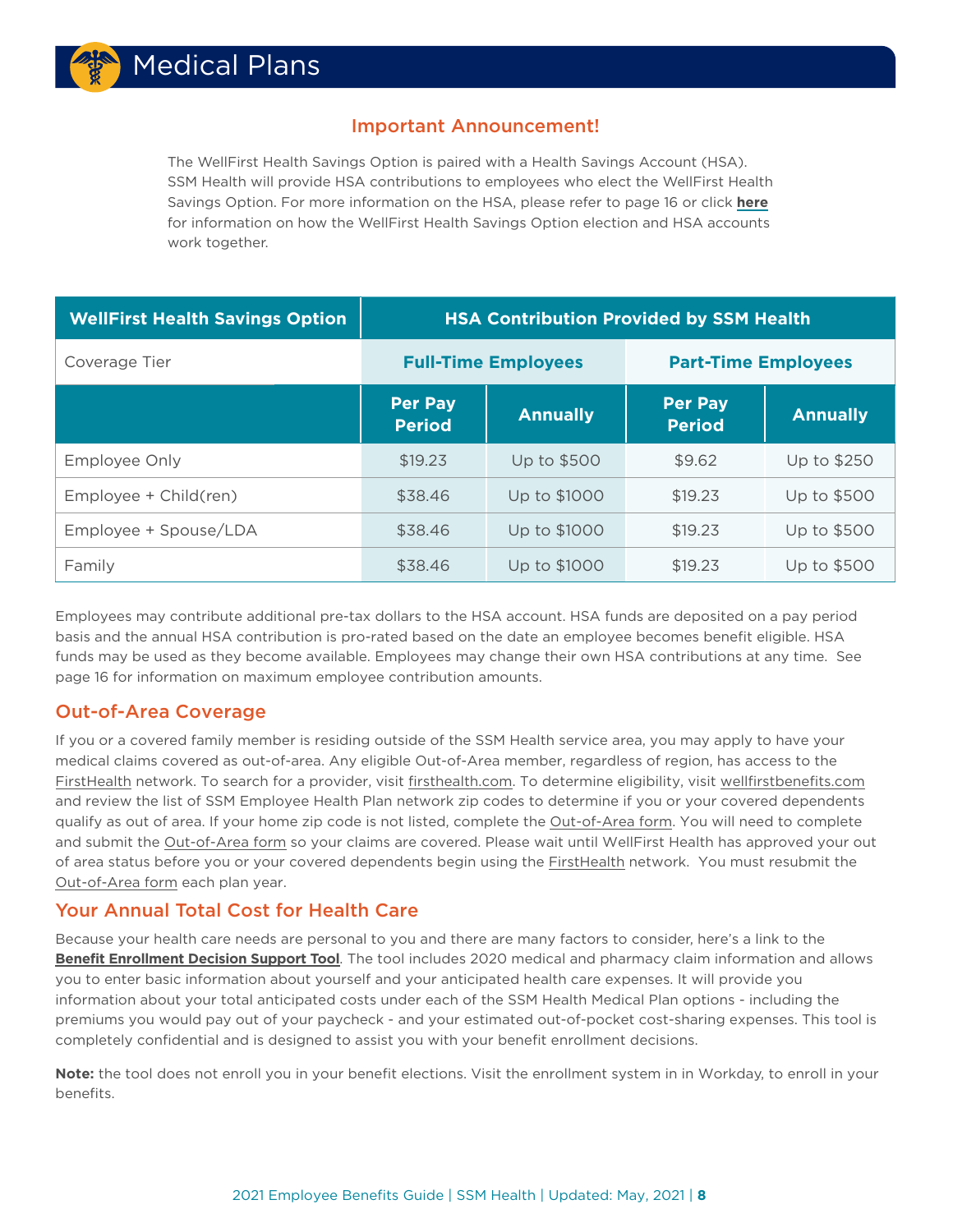### Important Announcement!

The WellFirst Health Savings Option is paired with a Health Savings Account (HSA). SSM Health will provide HSA contributions to employees who elect the WellFirst Health Savings Option. For more information on the HSA, please refer to page 16 or click **[here](http://ssmhealth.com/BenefitVideos)**  for information on how the WellFirst Health Savings Option election and HSA accounts work together.

| <b>WellFirst Health Savings Option</b> | <b>HSA Contribution Provided by SSM Health</b> |                            |                                 |                 |  |  |
|----------------------------------------|------------------------------------------------|----------------------------|---------------------------------|-----------------|--|--|
| Coverage Tier                          |                                                | <b>Full-Time Employees</b> | <b>Part-Time Employees</b>      |                 |  |  |
|                                        | <b>Per Pay</b><br><b>Period</b>                | <b>Annually</b>            | <b>Per Pay</b><br><b>Period</b> | <b>Annually</b> |  |  |
| Employee Only                          | \$19.23                                        | Up to \$500                | \$9.62                          | Up to \$250     |  |  |
| Employee + Child(ren)                  | \$38.46                                        | Up to \$1000               | \$19.23                         | Up to \$500     |  |  |
| Employee + Spouse/LDA                  | \$38.46                                        | Up to \$1000               | \$19.23                         | Up to \$500     |  |  |
| Family                                 | \$38.46                                        | Up to \$1000               | \$19.23                         | Up to \$500     |  |  |

Employees may contribute additional pre-tax dollars to the HSA account. HSA funds are deposited on a pay period basis and the annual HSA contribution is pro-rated based on the date an employee becomes benefit eligible. HSA funds may be used as they become available. Employees may change their own HSA contributions at any time. See page 16 for information on maximum employee contribution amounts.

### Out-of-Area Coverage

If you or a covered family member is residing outside of the SSM Health service area, you may apply to have your medical claims covered as out-of-area. Any eligible Out-of-Area member, regardless of region, has access to the [FirstHealth](https://providerlocator.firsthealth.com/LocateProvider/LocateProviderSearch/) network. To search for a provider, visit [firsthealth.com](https://providerlocator.firsthealth.com/LocateProvider/LocateProviderSearch/). To determine eligibility, visit [wellfirstbenefits.com](https://wellfirstbenefits.com/employees/Coverage-for-out-of-area-dependents-and-family)  and review the list of SSM Employee Health Plan network zip codes to determine if you or your covered dependents qualify as out of area. If your home zip code is not listed, complete the [Out-of-Area form](https://wellfirstbenefits.com/employees/Coverage-for-out-of-area-dependents-and-family). You will need to complete and submit the [Out-of-Area form](https://wellfirstbenefits.com/employees/Coverage-for-out-of-area-dependents-and-family) so your claims are covered. Please wait until WellFirst Health has approved your out of area status before you or your covered dependents begin using the [FirstHealth](https://providerlocator.firsthealth.com/LocateProvider/LocateProviderSearch/) network. You must resubmit the [Out-of-Area form](https://wellfirstbenefits.com/employees/Coverage-for-out-of-area-dependents-and-family) each plan year.

### Your Annual Total Cost for Health Care

Because your health care needs are personal to you and there are many factors to consider, here's a link to the **[Benefit Enrollment Decision Support Tool](http://ssmhealth.com/benefitsdecision.com)**. The tool includes 2020 medical and pharmacy claim information and allows you to enter basic information about yourself and your anticipated health care expenses. It will provide you information about your total anticipated costs under each of the SSM Health Medical Plan options - including the premiums you would pay out of your paycheck - and your estimated out-of-pocket cost-sharing expenses. This tool is completely confidential and is designed to assist you with your benefit enrollment decisions.

**Note:** the tool does not enroll you in your benefit elections. Visit the enrollment system in in Workday, to enroll in your benefits.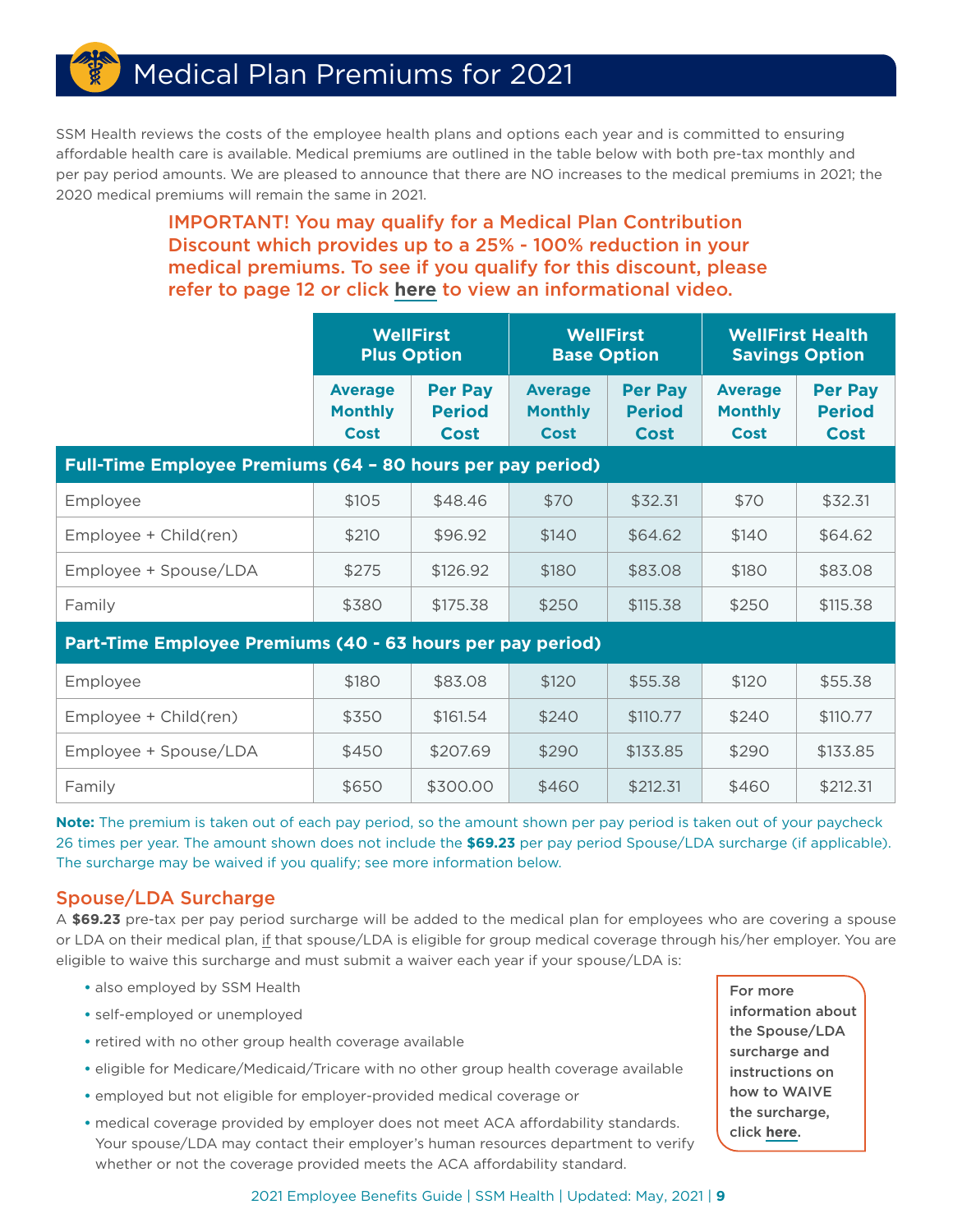### Medical Plan Premiums for 2021

SSM Health reviews the costs of the employee health plans and options each year and is committed to ensuring affordable health care is available. Medical premiums are outlined in the table below with both pre-tax monthly and per pay period amounts. We are pleased to announce that there are NO increases to the medical premiums in 2021; the 2020 medical premiums will remain the same in 2021.

> IMPORTANT! You may qualify for a Medical Plan Contribution Discount which provides up to a 25% - 100% reduction in your medical premiums. To see if you qualify for this discount, please refer to page 12 or click **[here](http://www.ssmhealth.com/BenefitVideos)** to view an informational video.

|                                                            | <b>WellFirst</b><br><b>Plus Option</b>   |                                         | <b>WellFirst</b><br><b>Base Option</b>   |                                         | <b>WellFirst Health</b><br><b>Savings Option</b> |                                         |
|------------------------------------------------------------|------------------------------------------|-----------------------------------------|------------------------------------------|-----------------------------------------|--------------------------------------------------|-----------------------------------------|
|                                                            | <b>Average</b><br><b>Monthly</b><br>Cost | <b>Per Pay</b><br><b>Period</b><br>Cost | <b>Average</b><br><b>Monthly</b><br>Cost | <b>Per Pay</b><br><b>Period</b><br>Cost | <b>Average</b><br><b>Monthly</b><br>Cost         | <b>Per Pay</b><br><b>Period</b><br>Cost |
| Full-Time Employee Premiums (64 - 80 hours per pay period) |                                          |                                         |                                          |                                         |                                                  |                                         |
| Employee                                                   | \$105                                    | \$48.46                                 | \$70                                     | \$32.31                                 | \$70                                             | \$32.31                                 |
| Employee + Child(ren)                                      | \$210                                    | \$96.92                                 | \$140                                    | \$64.62                                 | \$140                                            | \$64.62                                 |
| Employee + Spouse/LDA                                      | \$275                                    | \$126.92                                | \$180                                    | \$83.08                                 | \$180                                            | \$83.08                                 |
| Family                                                     | \$380                                    | \$175.38                                | \$250                                    | \$115.38                                | \$250                                            | \$115.38                                |
| Part-Time Employee Premiums (40 - 63 hours per pay period) |                                          |                                         |                                          |                                         |                                                  |                                         |
| Employee                                                   | \$180                                    | \$83.08                                 | \$120                                    | \$55.38                                 | \$120                                            | \$55.38                                 |
| Employee + Child(ren)                                      | \$350                                    | \$161.54                                | \$240                                    | \$110.77                                | \$240                                            | \$110.77                                |
| Employee + Spouse/LDA                                      | \$450                                    | \$207.69                                | \$290                                    | \$133.85                                | \$290                                            | \$133.85                                |
| Family                                                     | \$650                                    | \$300.00                                | \$460                                    | \$212.31                                | \$460                                            | \$212.31                                |

**Note:** The premium is taken out of each pay period, so the amount shown per pay period is taken out of your paycheck 26 times per year. The amount shown does not include the **\$69.23** per pay period Spouse/LDA surcharge (if applicable). The surcharge may be waived if you qualify; see more information below.

### Spouse/LDA Surcharge

A **\$69.23** pre-tax per pay period surcharge will be added to the medical plan for employees who are covering a spouse or LDA on their medical plan, if that spouse/LDA is eligible for group medical coverage through his/her employer. You are eligible to waive this surcharge and must submit a waiver each year if your spouse/LDA is:

- **•** also employed by SSM Health
- **•** self-employed or unemployed
- **•** retired with no other group health coverage available
- **•** eligible for Medicare/Medicaid/Tricare with no other group health coverage available
- **•** employed but not eligible for employer-provided medical coverage or
- **•** medical coverage provided by employer does not meet ACA affordability standards. Your spouse/LDA may contact their employer's human resources department to verify whether or not the coverage provided meets the ACA affordability standard.

For more information about the Spouse/LDA surcharge and instructions on how to WAIVE the surcharge, click **[here](http://www.ssmhealth.com/BenefitVideos)**.

#### 2021 Employee Benefits Guide | SSM Health | Updated: May, 2021 | **9**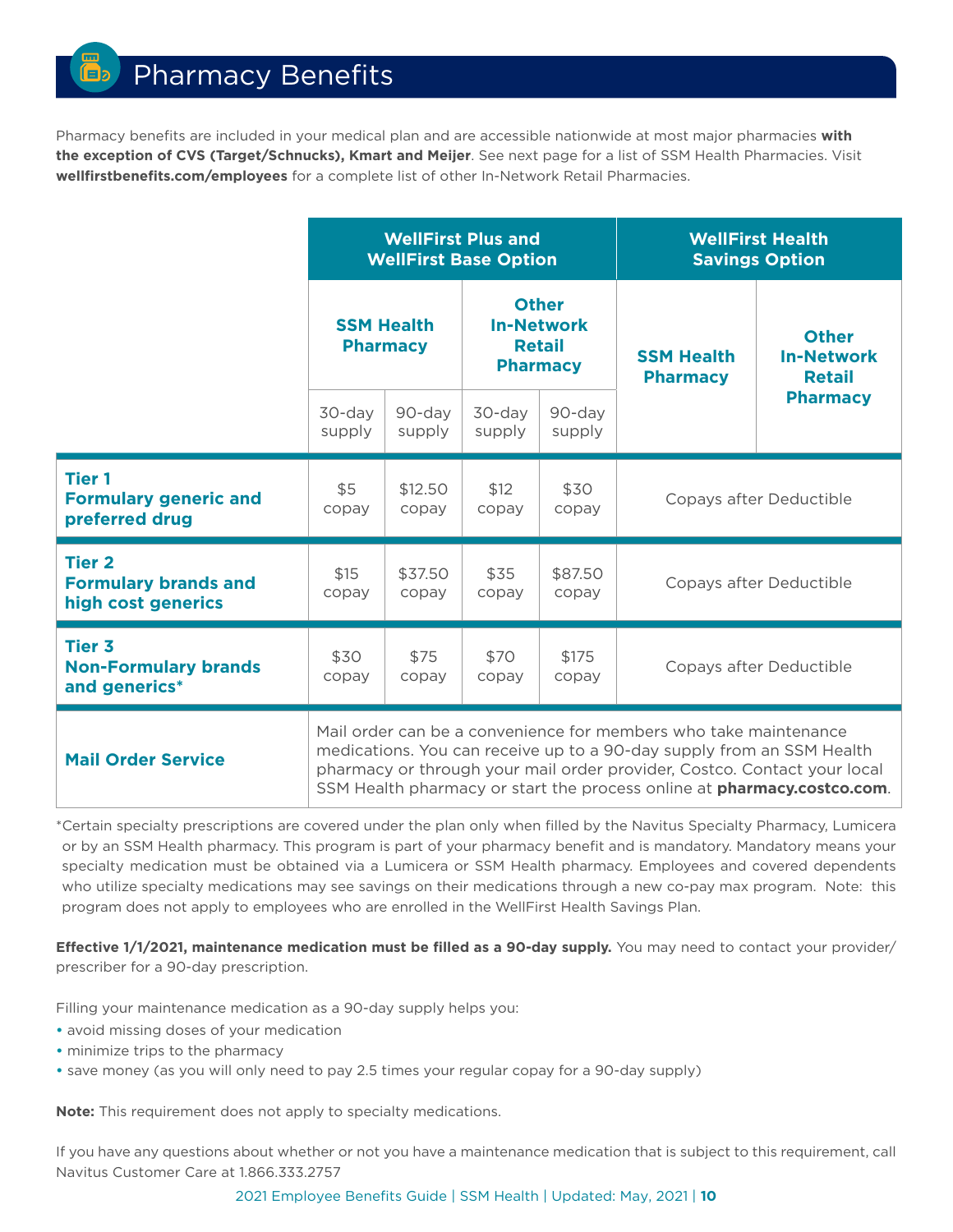## Pharmacy Benefits

Pharmacy benefits are included in your medical plan and are accessible nationwide at most major pharmacies **with the exception of CVS (Target/Schnucks), Kmart and Meijer**. See next page for a list of SSM Health Pharmacies. Visit **wellfirstbenefits.com/employees** for a complete list of other In-Network Retail Pharmacies.

|                                                                    | <b>WellFirst Plus and</b><br><b>WellFirst Base Option</b>                                                     |                  |                                      |                                                    | <b>WellFirst Health</b><br><b>Savings Option</b> |                 |
|--------------------------------------------------------------------|---------------------------------------------------------------------------------------------------------------|------------------|--------------------------------------|----------------------------------------------------|--------------------------------------------------|-----------------|
|                                                                    | <b>Other</b><br><b>SSM Health</b><br><b>In-Network</b><br><b>Pharmacy</b><br><b>Retail</b><br><b>Pharmacy</b> |                  | <b>SSM Health</b><br><b>Pharmacy</b> | <b>Other</b><br><b>In-Network</b><br><b>Retail</b> |                                                  |                 |
|                                                                    | $30$ -day<br>supply                                                                                           | 90-day<br>supply | 30-day<br>supply                     | 90-day<br>supply                                   |                                                  | <b>Pharmacy</b> |
| <b>Tier 1</b><br><b>Formulary generic and</b><br>preferred drug    | \$5<br>copay                                                                                                  | \$12.50<br>copay | \$12<br>copay                        | \$30<br>copay                                      | Copays after Deductible                          |                 |
| <b>Tier 2</b><br><b>Formulary brands and</b><br>high cost generics | \$15<br>copay                                                                                                 | \$37.50<br>copay | \$35<br>copay                        | \$87.50<br>copay                                   | Copays after Deductible                          |                 |
| <b>Tier 3</b><br><b>Non-Formulary brands</b><br>and generics*      | \$30<br>copay                                                                                                 | \$75<br>copay    | \$70<br>copay                        | \$175<br>copay                                     | Copays after Deductible                          |                 |
|                                                                    | Mail order can be a convenience for members who take maintenance                                              |                  |                                      |                                                    |                                                  |                 |

### **Mail Order Service**

medications. You can receive up to a 90-day supply from an SSM Health pharmacy or through your mail order provider, Costco. Contact your local SSM Health pharmacy or start the process online at **[pharmacy.costco.com](http://pharmacy.costco.com)**.

\*Certain specialty prescriptions are covered under the plan only when filled by the Navitus Specialty Pharmacy, Lumicera or by an SSM Health pharmacy. This program is part of your pharmacy benefit and is mandatory. Mandatory means your specialty medication must be obtained via a Lumicera or SSM Health pharmacy. Employees and covered dependents who utilize specialty medications may see savings on their medications through a new co-pay max program. Note: this program does not apply to employees who are enrolled in the WellFirst Health Savings Plan.

**Effective 1/1/2021, maintenance medication must be filled as a 90-day supply.** You may need to contact your provider/ prescriber for a 90-day prescription.

Filling your maintenance medication as a 90-day supply helps you:

- **•** avoid missing doses of your medication
- **•** minimize trips to the pharmacy
- **•** save money (as you will only need to pay 2.5 times your regular copay for a 90-day supply)

**Note:** This requirement does not apply to specialty medications.

If you have any questions about whether or not you have a maintenance medication that is subject to this requirement, call Navitus Customer Care at 1.866.333.2757

2021 Employee Benefits Guide | SSM Health | Updated: May, 2021 | **10**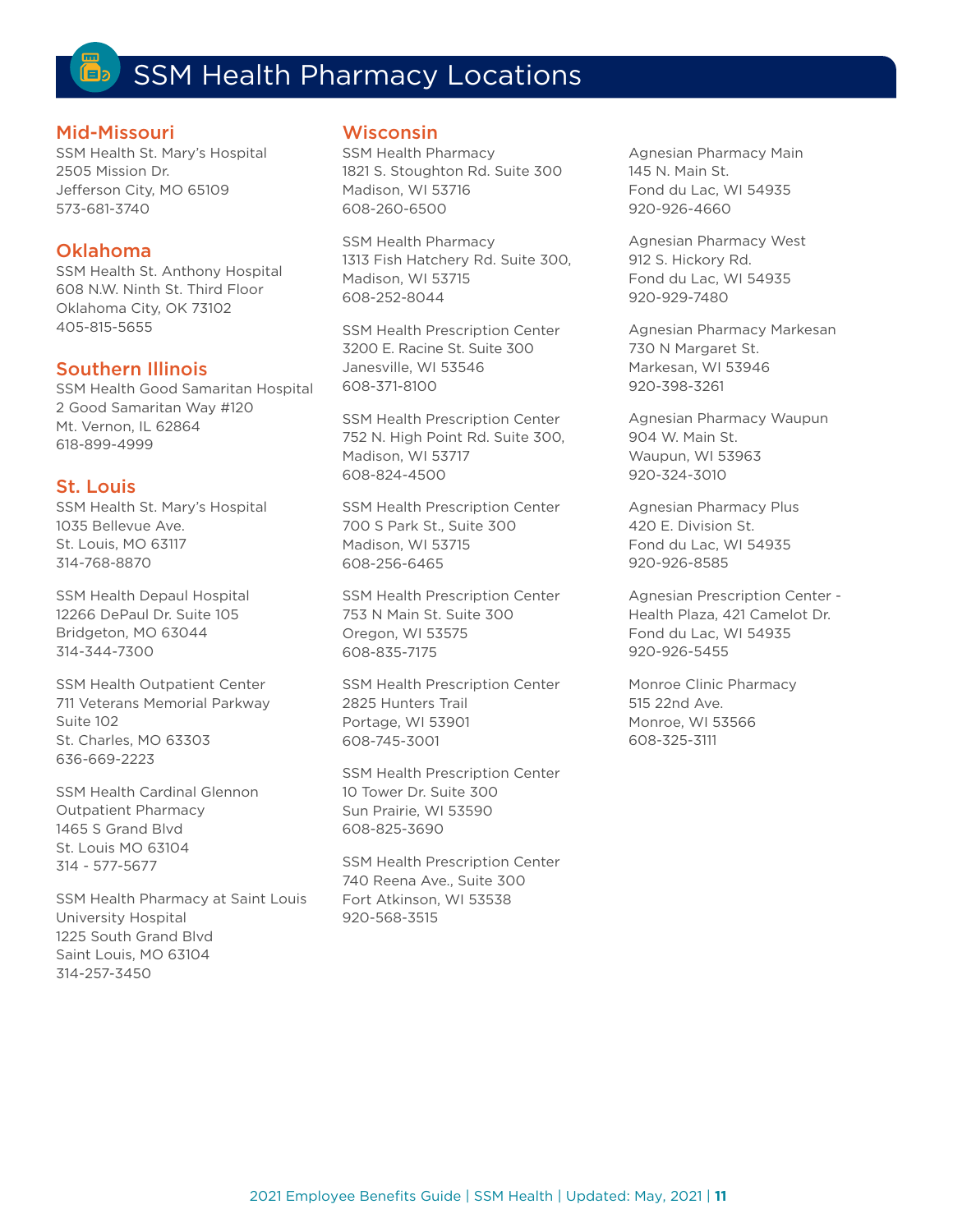### SSM Health Pharmacy Locations

### Mid-Missouri

SSM Health St. Mary's Hospital 2505 Mission Dr. Jefferson City, MO 65109 573-681-3740

### Oklahoma

SSM Health St. Anthony Hospital 608 N.W. Ninth St. Third Floor Oklahoma City, OK 73102 405-815-5655

### Southern Illinois

SSM Health Good Samaritan Hospital 2 Good Samaritan Way #120 Mt. Vernon, IL 62864 618-899-4999

### St. Louis

SSM Health St. Mary's Hospital 1035 Bellevue Ave. St. Louis, MO 63117 314-768-8870

SSM Health Depaul Hospital 12266 DePaul Dr. Suite 105 Bridgeton, MO 63044 314-344-7300

SSM Health Outpatient Center 711 Veterans Memorial Parkway Suite 102 St. Charles, MO 63303 636-669-2223

SSM Health Cardinal Glennon Outpatient Pharmacy 1465 S Grand Blvd St. Louis MO 63104 314 - 577-5677

SSM Health Pharmacy at Saint Louis University Hospital 1225 South Grand Blvd Saint Louis, MO 63104 314-257-3450

### Wisconsin

SSM Health Pharmacy 1821 S. Stoughton Rd. Suite 300 Madison, WI 53716 608-260-6500

SSM Health Pharmacy 1313 Fish Hatchery Rd. Suite 300, Madison, WI 53715 608-252-8044

SSM Health Prescription Center 3200 E. Racine St. Suite 300 Janesville, WI 53546 608-371-8100

SSM Health Prescription Center 752 N. High Point Rd. Suite 300, Madison, WI 53717 608-824-4500

SSM Health Prescription Center 700 S Park St., Suite 300 Madison, WI 53715 608-256-6465

SSM Health Prescription Center 753 N Main St. Suite 300 Oregon, WI 53575 608-835-7175

SSM Health Prescription Center 2825 Hunters Trail Portage, WI 53901 608-745-3001

SSM Health Prescription Center 10 Tower Dr. Suite 300 Sun Prairie, WI 53590 608-825-3690

SSM Health Prescription Center 740 Reena Ave., Suite 300 Fort Atkinson, WI 53538 920-568-3515

Agnesian Pharmacy Main 145 N. Main St. Fond du Lac, WI 54935 920-926-4660

Agnesian Pharmacy West 912 S. Hickory Rd. Fond du Lac, WI 54935 920-929-7480

Agnesian Pharmacy Markesan 730 N Margaret St. Markesan, WI 53946 920-398-3261

Agnesian Pharmacy Waupun 904 W. Main St. Waupun, WI 53963 920-324-3010

Agnesian Pharmacy Plus 420 E. Division St. Fond du Lac, WI 54935 920-926-8585

Agnesian Prescription Center - Health Plaza, 421 Camelot Dr. Fond du Lac, WI 54935 920-926-5455

Monroe Clinic Pharmacy 515 22nd Ave. Monroe, WI 53566 608-325-3111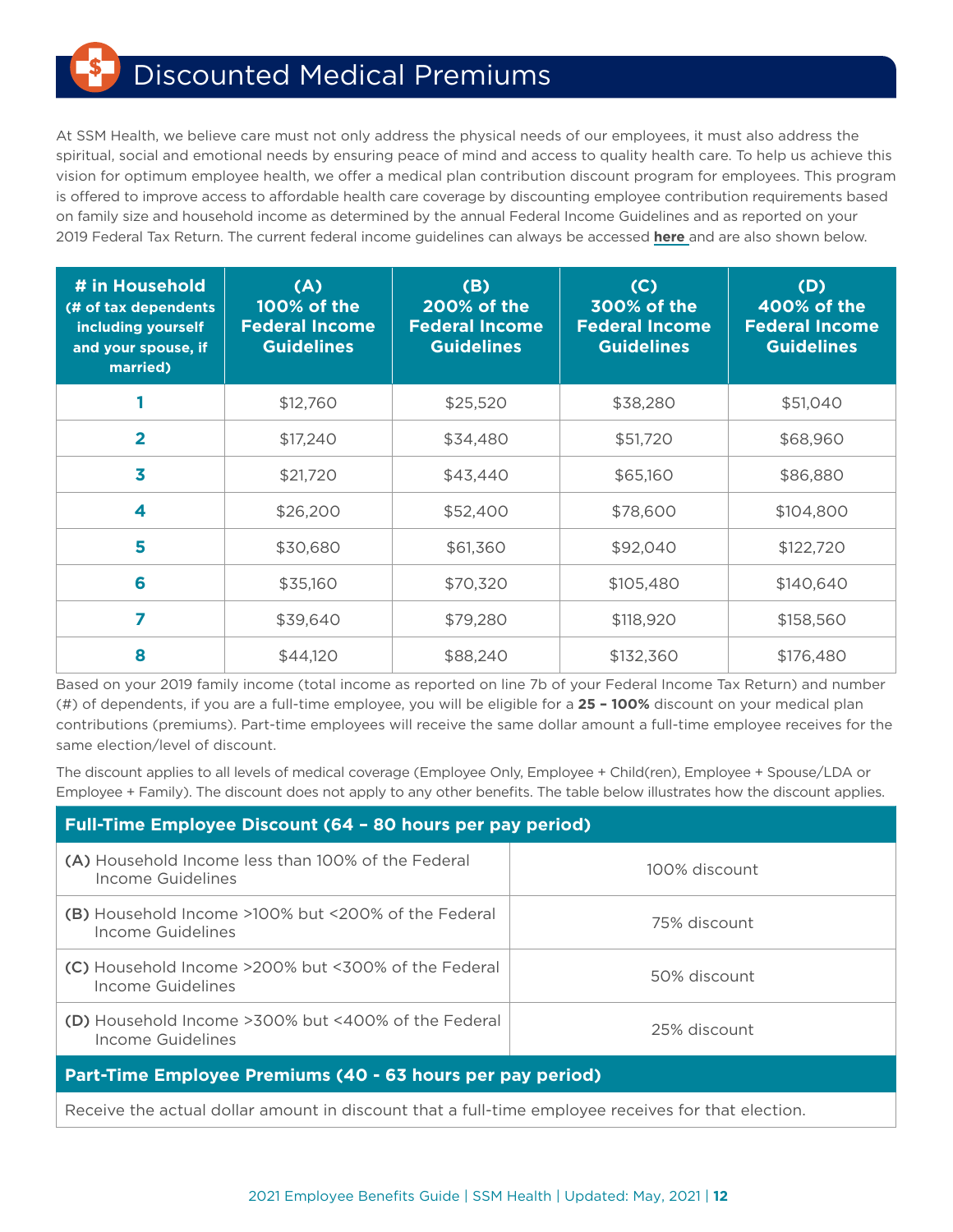## Discounted Medical Premiums

At SSM Health, we believe care must not only address the physical needs of our employees, it must also address the spiritual, social and emotional needs by ensuring peace of mind and access to quality health care. To help us achieve this vision for optimum employee health, we offer a medical plan contribution discount program for employees. This program is offered to improve access to affordable health care coverage by discounting employee contribution requirements based on family size and household income as determined by the annual Federal Income Guidelines and as reported on your 2019 Federal Tax Return. The current federal income guidelines can always be accessed **[here](https://aspe.hhs.gov/poverty-guidelines)** and are also shown below.

| # in Household<br>(# of tax dependents<br>including yourself<br>and your spouse, if<br>married) | (A)<br>100% of the<br><b>Federal Income</b><br><b>Guidelines</b> | (B)<br>200% of the<br><b>Federal Income</b><br><b>Guidelines</b> | (C)<br>300% of the<br><b>Federal Income</b><br><b>Guidelines</b> | (D)<br>400% of the<br><b>Federal Income</b><br><b>Guidelines</b> |
|-------------------------------------------------------------------------------------------------|------------------------------------------------------------------|------------------------------------------------------------------|------------------------------------------------------------------|------------------------------------------------------------------|
|                                                                                                 | \$12,760                                                         | \$25,520                                                         | \$38,280                                                         | \$51,040                                                         |
| $\overline{2}$                                                                                  | \$17,240                                                         | \$34,480                                                         | \$51,720                                                         | \$68,960                                                         |
| 3                                                                                               | \$21,720                                                         | \$43,440                                                         | \$65,160                                                         | \$86,880                                                         |
| $\overline{\mathbf{4}}$                                                                         | \$26,200                                                         | \$52,400                                                         | \$78,600                                                         | \$104,800                                                        |
| 5                                                                                               | \$30,680                                                         | \$61,360                                                         | \$92,040                                                         | \$122,720                                                        |
| 6                                                                                               | \$35,160                                                         | \$70,320                                                         | \$105,480                                                        | \$140,640                                                        |
| 7                                                                                               | \$39,640                                                         | \$79,280                                                         | \$118,920                                                        | \$158,560                                                        |
| 8                                                                                               | \$44,120                                                         | \$88,240                                                         | \$132,360                                                        | \$176,480                                                        |

Based on your 2019 family income (total income as reported on line 7b of your Federal Income Tax Return) and number (#) of dependents, if you are a full-time employee, you will be eligible for a **25 – 100%** discount on your medical plan contributions (premiums). Part-time employees will receive the same dollar amount a full-time employee receives for the same election/level of discount.

The discount applies to all levels of medical coverage (Employee Only, Employee + Child(ren), Employee + Spouse/LDA or Employee + Family). The discount does not apply to any other benefits. The table below illustrates how the discount applies.

| Full-Time Employee Discount (64 - 80 hours per pay period)                               |               |  |  |  |  |
|------------------------------------------------------------------------------------------|---------------|--|--|--|--|
| (A) Household Income less than 100% of the Federal<br>Income Guidelines                  | 100% discount |  |  |  |  |
| <b>(B)</b> Household Income >100% but <200% of the Federal<br>Income Guidelines          | 75% discount  |  |  |  |  |
| (C) Household Income >200% but <300% of the Federal<br>Income Guidelines                 | 50% discount  |  |  |  |  |
| (D) Household Income >300% but <400% of the Federal<br>25% discount<br>Income Guidelines |               |  |  |  |  |
| Part-Time Employee Premiums (40 - 63 hours per pay period)                               |               |  |  |  |  |

Receive the actual dollar amount in discount that a full-time employee receives for that election.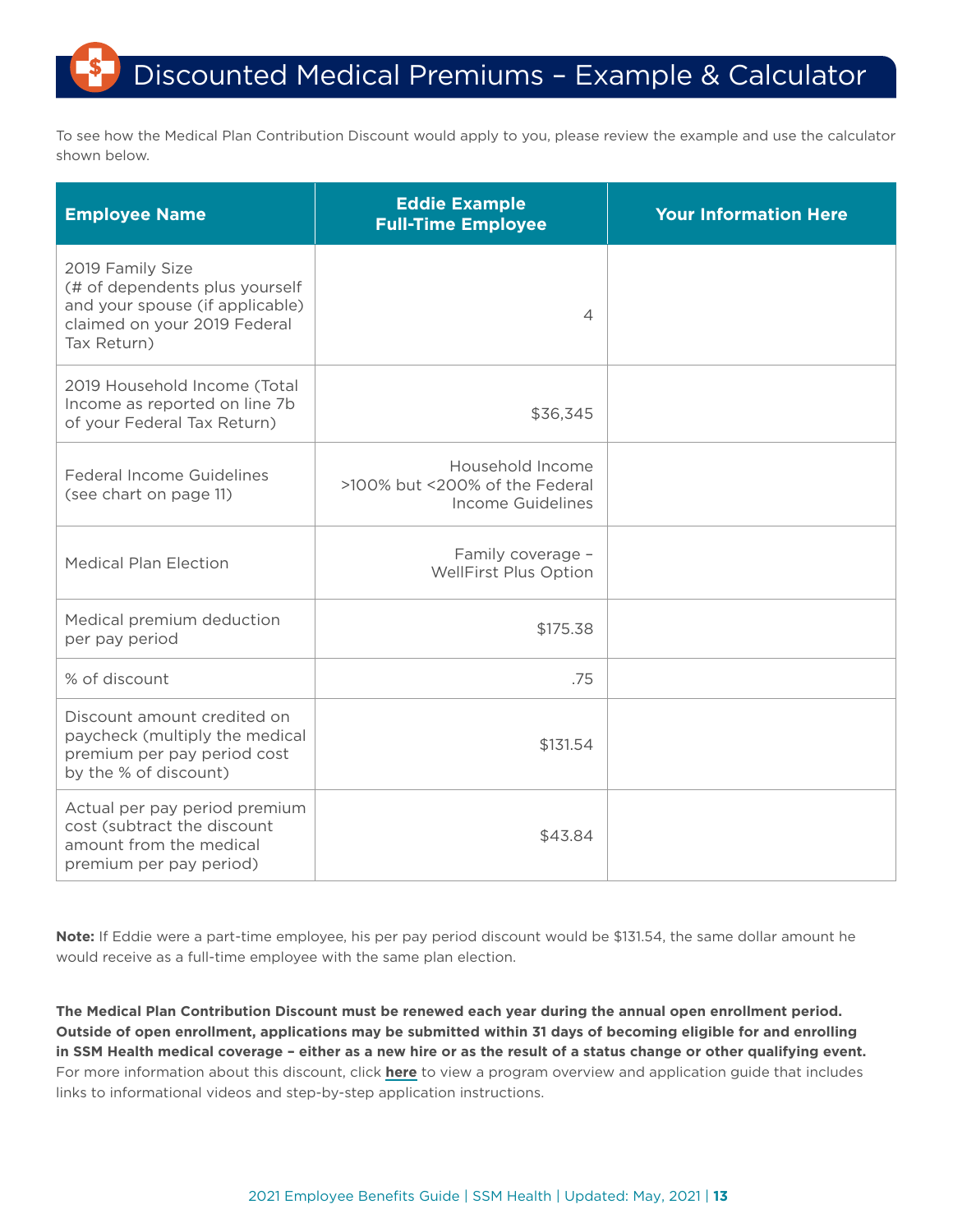To see how the Medical Plan Contribution Discount would apply to you, please review the example and use the calculator shown below.

| <b>Employee Name</b>                                                                                                                 | <b>Eddie Example</b><br><b>Full-Time Employee</b>                       | <b>Your Information Here</b> |
|--------------------------------------------------------------------------------------------------------------------------------------|-------------------------------------------------------------------------|------------------------------|
| 2019 Family Size<br>(# of dependents plus yourself<br>and your spouse (if applicable)<br>claimed on your 2019 Federal<br>Tax Return) | $\overline{4}$                                                          |                              |
| 2019 Household Income (Total<br>Income as reported on line 7b<br>of your Federal Tax Return)                                         | \$36,345                                                                |                              |
| <b>Federal Income Guidelines</b><br>(see chart on page 11)                                                                           | Household Income<br>>100% but <200% of the Federal<br>Income Guidelines |                              |
| <b>Medical Plan Election</b>                                                                                                         | Family coverage -<br>WellFirst Plus Option                              |                              |
| Medical premium deduction<br>per pay period                                                                                          | \$175.38                                                                |                              |
| % of discount                                                                                                                        | .75                                                                     |                              |
| Discount amount credited on<br>paycheck (multiply the medical<br>premium per pay period cost<br>by the % of discount)                | \$131.54                                                                |                              |
| Actual per pay period premium<br>cost (subtract the discount<br>amount from the medical<br>premium per pay period)                   | \$43.84                                                                 |                              |

**Note:** If Eddie were a part-time employee, his per pay period discount would be \$131.54, the same dollar amount he would receive as a full-time employee with the same plan election.

**The Medical Plan Contribution Discount must be renewed each year during the annual open enrollment period. Outside of open enrollment, applications may be submitted within 31 days of becoming eligible for and enrolling in SSM Health medical coverage – either as a new hire or as the result of a status change or other qualifying event.**  For more information about this discount, click **[here](https://login.ssmhealth.com/MyHR/Shared%20Documents/Benefit%20Documents/2021%20Open%20Enrollment/2021%20Medical%20Plan%20Contribution%20Discount/2021%20Medical%20Plan%20Contribution%20Discount%20Program%20Overview%20and%20Application%20Guide.pdf)** to view a program overview and application guide that includes links to informational videos and step-by-step application instructions.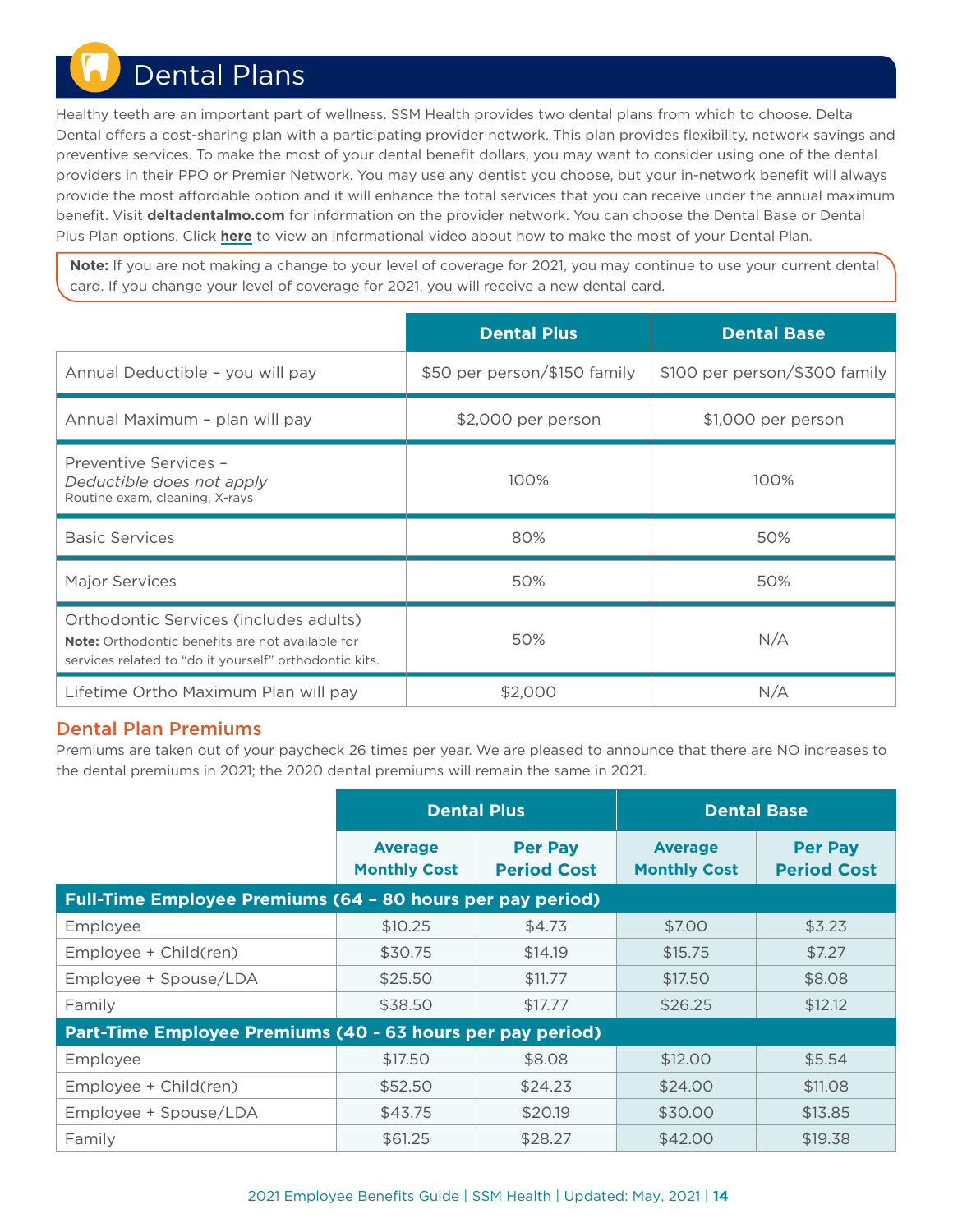## Dental Plans

Healthy teeth are an important part of wellness. SSM Health provides two dental plans from which to choose. Delta Dental offers a cost-sharing plan with a participating provider network. This plan provides flexibility, network savings and preventive services. To make the most of your dental benefit dollars, you may want to consider using one of the dental providers in their PPO or Premier Network. You may use any dentist you choose, but your in-network benefit will always provide the most affordable option and it will enhance the total services that you can receive under the annual maximum benefit. Visit **[deltadentalmo.com](http://deltadentalmo.com)** for information on the provider network. You can choose the Dental Base or Dental Plus Plan options. Click **[here](http://www.ssmhealth.com/benefitvideos)** to view an informational video about how to make the most of your Dental Plan.

**Note:** If you are not making a change to your level of coverage for 2021, you may continue to use your current dental card. If you change your level of coverage for 2021, you will receive a new dental card.

|                                                                                                                                                             | <b>Dental Plus</b>           | <b>Dental Base</b>            |
|-------------------------------------------------------------------------------------------------------------------------------------------------------------|------------------------------|-------------------------------|
| Annual Deductible - you will pay                                                                                                                            | \$50 per person/\$150 family | \$100 per person/\$300 family |
| Annual Maximum - plan will pay                                                                                                                              | \$2,000 per person           | \$1,000 per person            |
| Preventive Services -<br>Deductible does not apply<br>Routine exam, cleaning, X-rays                                                                        | 100%                         | 100%                          |
| <b>Basic Services</b>                                                                                                                                       | 80%                          | 50%                           |
| <b>Major Services</b>                                                                                                                                       | 50%                          | 50%                           |
| Orthodontic Services (includes adults)<br><b>Note:</b> Orthodontic benefits are not available for<br>services related to "do it yourself" orthodontic kits. | 50%                          | N/A                           |
| Lifetime Ortho Maximum Plan will pay                                                                                                                        | \$2,000                      | N/A                           |

### Dental Plan Premiums

Premiums are taken out of your paycheck 26 times per year. We are pleased to announce that there are NO increases to the dental premiums in 2021; the 2020 dental premiums will remain the same in 2021.

|                                                            | <b>Dental Plus</b>                    |                                      | <b>Dental Base</b>                    |                                      |
|------------------------------------------------------------|---------------------------------------|--------------------------------------|---------------------------------------|--------------------------------------|
|                                                            | <b>Average</b><br><b>Monthly Cost</b> | <b>Per Pay</b><br><b>Period Cost</b> | <b>Average</b><br><b>Monthly Cost</b> | <b>Per Pay</b><br><b>Period Cost</b> |
| Full-Time Employee Premiums (64 - 80 hours per pay period) |                                       |                                      |                                       |                                      |
| Employee                                                   | \$10.25                               | \$4.73                               | \$7.00                                | \$3.23                               |
| Employee + Child(ren)                                      | \$30.75                               | \$14.19                              | \$15.75                               | \$7.27                               |
| Employee + Spouse/LDA                                      | \$25.50                               | \$11.77                              | \$17.50                               | \$8.08                               |
| Family                                                     | \$38.50                               | \$17.77                              | \$26.25                               | \$12.12                              |
| Part-Time Employee Premiums (40 - 63 hours per pay period) |                                       |                                      |                                       |                                      |
| Employee                                                   | \$17.50                               | \$8.08                               | \$12.00                               | \$5.54                               |
| Employee + Child(ren)                                      | \$52.50                               | \$24.23                              | \$24.00                               | \$11.08                              |
| Employee + Spouse/LDA                                      | \$43.75                               | \$20.19                              | \$30.00                               | \$13.85                              |
| Family                                                     | \$61.25                               | \$28.27                              | \$42.00                               | \$19.38                              |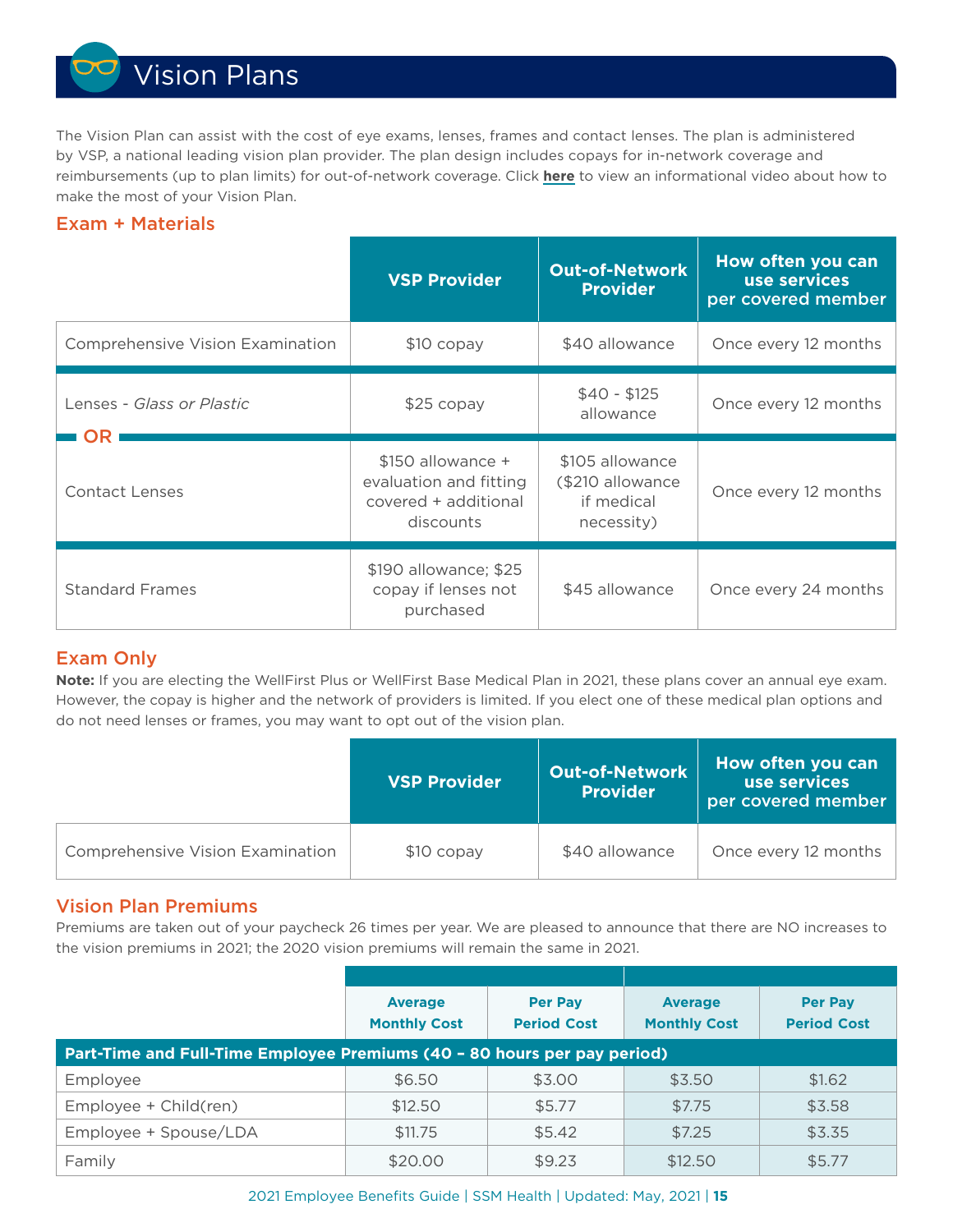Vision Plans

The Vision Plan can assist with the cost of eye exams, lenses, frames and contact lenses. The plan is administered by VSP, a national leading vision plan provider. The plan design includes copays for in-network coverage and reimbursements (up to plan limits) for out-of-network coverage. Click **[here](http://www.ssmhealth.com/benefitvideos)** to view an informational video about how to make the most of your Vision Plan.

### Exam + Materials

|                                  | <b>VSP Provider</b>                                                              | <b>Out-of-Network</b><br><b>Provider</b>                         | How often you can<br>use services<br>per covered member |
|----------------------------------|----------------------------------------------------------------------------------|------------------------------------------------------------------|---------------------------------------------------------|
| Comprehensive Vision Examination | $$10$ copay                                                                      | \$40 allowance                                                   | Once every 12 months                                    |
| Lenses - Glass or Plastic        | $$25$ copay                                                                      | $$40 - $125$<br>allowance                                        | Once every 12 months                                    |
| OR.                              |                                                                                  |                                                                  |                                                         |
| Contact Lenses                   | \$150 allowance +<br>evaluation and fitting<br>covered + additional<br>discounts | \$105 allowance<br>(\$210 allowance)<br>if medical<br>necessity) | Once every 12 months                                    |

### Exam Only

**Note:** If you are electing the WellFirst Plus or WellFirst Base Medical Plan in 2021, these plans cover an annual eye exam. However, the copay is higher and the network of providers is limited. If you elect one of these medical plan options and do not need lenses or frames, you may want to opt out of the vision plan.

|                                         | <b>VSP Provider</b> | Out-of-Network<br><b>Provider</b> | How often you can<br>use services<br>per covered member |
|-----------------------------------------|---------------------|-----------------------------------|---------------------------------------------------------|
| <b>Comprehensive Vision Examination</b> | $$10$ copay         | \$40 allowance                    | Once every 12 months                                    |

### Vision Plan Premiums

Premiums are taken out of your paycheck 26 times per year. We are pleased to announce that there are NO increases to the vision premiums in 2021; the 2020 vision premiums will remain the same in 2021.

|                                                                          | <b>Average</b><br><b>Monthly Cost</b> | <b>Per Pay</b><br><b>Period Cost</b> | <b>Average</b><br><b>Monthly Cost</b> | <b>Per Pay</b><br><b>Period Cost</b> |
|--------------------------------------------------------------------------|---------------------------------------|--------------------------------------|---------------------------------------|--------------------------------------|
| Part-Time and Full-Time Employee Premiums (40 - 80 hours per pay period) |                                       |                                      |                                       |                                      |
| Employee                                                                 | \$6.50                                | \$3.00                               | \$3.50                                | \$1.62                               |
| Employee + Child(ren)                                                    | \$12.50                               | \$5.77                               | \$7.75                                | \$3.58                               |
| Employee + Spouse/LDA                                                    | \$11.75                               | \$5.42                               | \$7.25                                | \$3.35                               |
| Family                                                                   | \$20.00                               | \$9.23                               | \$12.50                               | \$5.77                               |

2021 Employee Benefits Guide | SSM Health | Updated: May, 2021 | **15**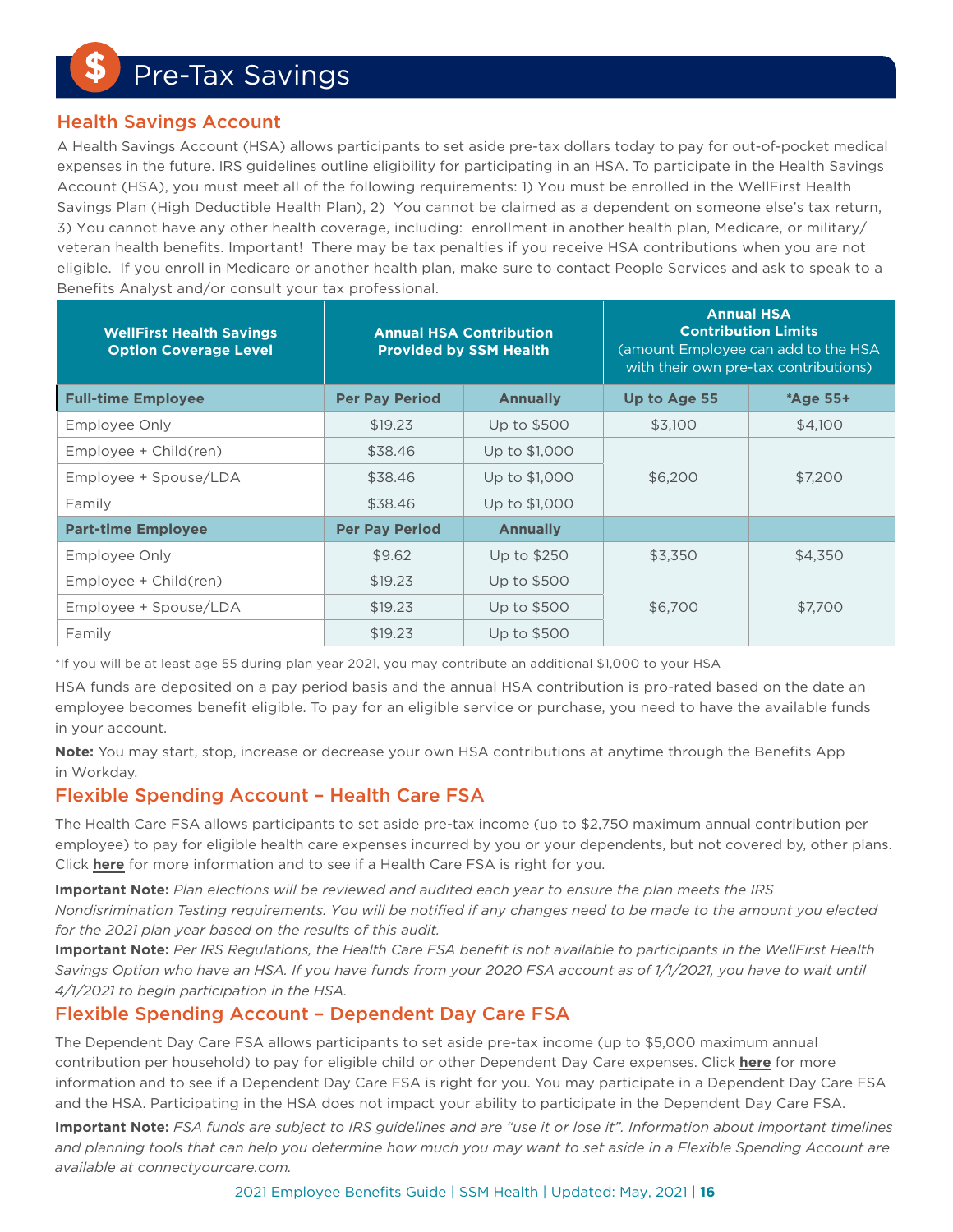### Health Savings Account

A Health Savings Account (HSA) allows participants to set aside pre-tax dollars today to pay for out-of-pocket medical expenses in the future. IRS guidelines outline eligibility for participating in an HSA. To participate in the Health Savings Account (HSA), you must meet all of the following requirements: 1) You must be enrolled in the WellFirst Health Savings Plan (High Deductible Health Plan), 2) You cannot be claimed as a dependent on someone else's tax return, 3) You cannot have any other health coverage, including: enrollment in another health plan, Medicare, or military/ veteran health benefits. Important! There may be tax penalties if you receive HSA contributions when you are not eligible. If you enroll in Medicare or another health plan, make sure to contact People Services and ask to speak to a Benefits Analyst and/or consult your tax professional.

| <b>WellFirst Health Savings</b><br><b>Option Coverage Level</b> | <b>Annual HSA Contribution</b><br><b>Provided by SSM Health</b> |                 |              | <b>Annual HSA</b><br><b>Contribution Limits</b><br>(amount Employee can add to the HSA<br>with their own pre-tax contributions) |  |
|-----------------------------------------------------------------|-----------------------------------------------------------------|-----------------|--------------|---------------------------------------------------------------------------------------------------------------------------------|--|
| <b>Full-time Employee</b>                                       | <b>Per Pay Period</b>                                           | <b>Annually</b> | Up to Age 55 | *Age 55+                                                                                                                        |  |
| Employee Only                                                   | \$19.23                                                         | Up to \$500     | \$3,100      | \$4,100                                                                                                                         |  |
| Employee + Child(ren)                                           | \$38.46                                                         | Up to \$1,000   |              | \$7,200                                                                                                                         |  |
| Employee + Spouse/LDA                                           | \$38.46                                                         | Up to \$1,000   | \$6,200      |                                                                                                                                 |  |
| Family                                                          | \$38.46                                                         | Up to \$1,000   |              |                                                                                                                                 |  |
| <b>Part-time Employee</b>                                       | <b>Per Pay Period</b>                                           | <b>Annually</b> |              |                                                                                                                                 |  |
| Employee Only                                                   | \$9.62                                                          | Up to \$250     | \$3,350      | \$4,350                                                                                                                         |  |
| $Emplovee + Child(ren)$                                         | \$19.23                                                         | Up to \$500     |              |                                                                                                                                 |  |
| Employee + Spouse/LDA                                           | \$19.23                                                         | Up to \$500     | \$6,700      | \$7,700                                                                                                                         |  |
| Family                                                          | \$19.23                                                         | Up to \$500     |              |                                                                                                                                 |  |

\*If you will be at least age 55 during plan year 2021, you may contribute an additional \$1,000 to your HSA

HSA funds are deposited on a pay period basis and the annual HSA contribution is pro-rated based on the date an employee becomes benefit eligible. To pay for an eligible service or purchase, you need to have the available funds in your account.

**Note:** You may start, stop, increase or decrease your own HSA contributions at anytime through the Benefits App in Workday.

### Flexible Spending Account – Health Care FSA

The Health Care FSA allows participants to set aside pre-tax income (up to \$2,750 maximum annual contribution per employee) to pay for eligible health care expenses incurred by you or your dependents, but not covered by, other plans. Click **[here](http://www.ssmhealth.com/BenefitVideos)** for more information and to see if a Health Care FSA is right for you.

**Important Note:** *Plan elections will be reviewed and audited each year to ensure the plan meets the IRS Nondisrimination Testing requirements. You will be notified if any changes need to be made to the amount you elected for the 2021 plan year based on the results of this audit.* 

**Important Note:** *Per IRS Regulations, the Health Care FSA benefit is not available to participants in the WellFirst Health*  Savings Option who have an HSA. If you have funds from your 2020 FSA account as of 1/1/2021, you have to wait until *4/1/2021 to begin participation in the HSA.*

### Flexible Spending Account – Dependent Day Care FSA

The Dependent Day Care FSA allows participants to set aside pre-tax income (up to \$5,000 maximum annual contribution per household) to pay for eligible child or other Dependent Day Care expenses. Click **[here](http://www.ssmhealth.com/BenefitVideos)** for more information and to see if a Dependent Day Care FSA is right for you. You may participate in a Dependent Day Care FSA and the HSA. Participating in the HSA does not impact your ability to participate in the Dependent Day Care FSA.

**Important Note:** *FSA funds are subject to IRS guidelines and are "use it or lose it". Information about important timelines*  and planning tools that can help you determine how much you may want to set aside in a Flexible Spending Account are *available at connectyourcare.com.*

2021 Employee Benefits Guide | SSM Health | Updated: May, 2021 | **16**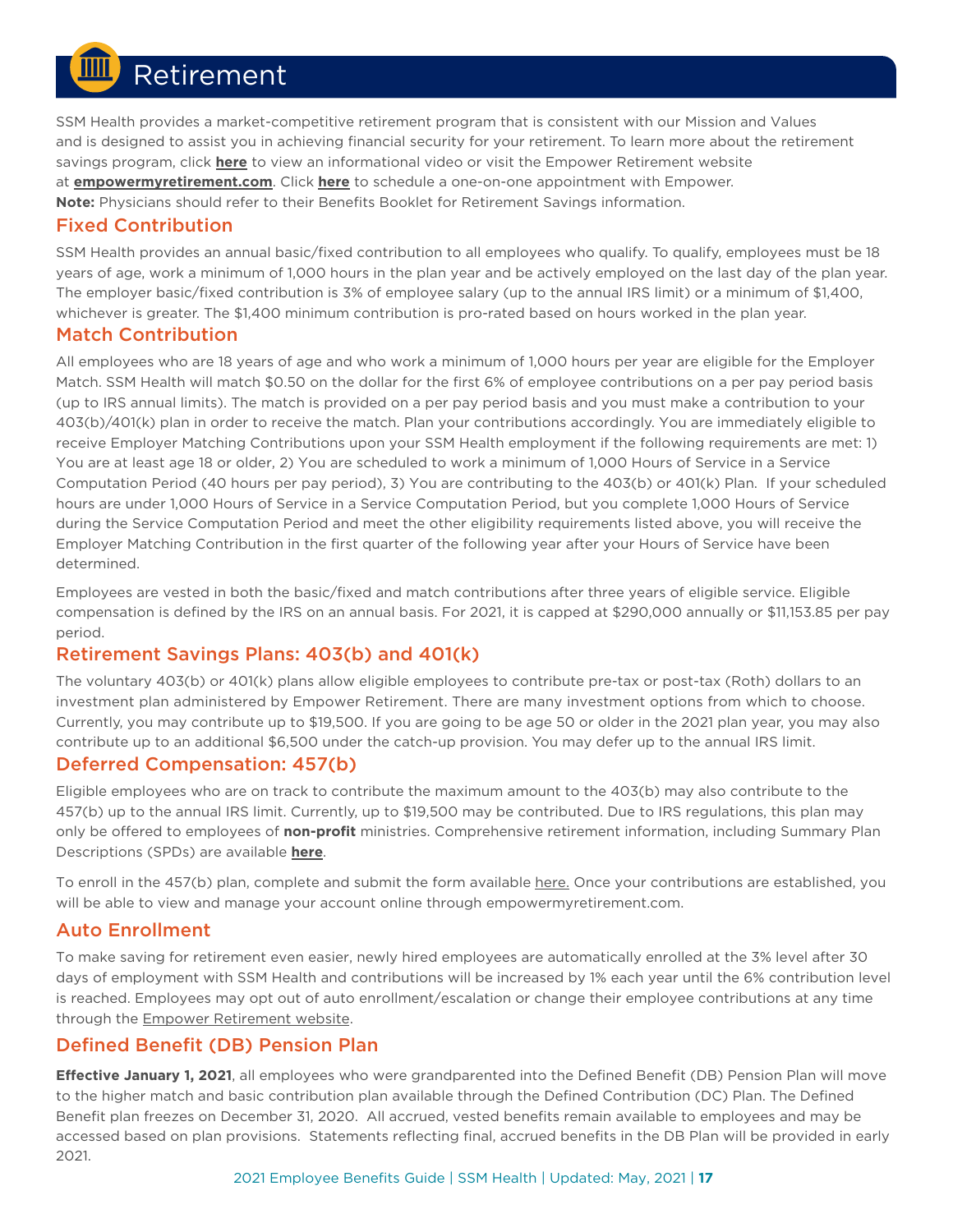Retirement

SSM Health provides a market-competitive retirement program that is consistent with our Mission and Values and is designed to assist you in achieving financial security for your retirement. To learn more about the retirement savings program, click **[here](http://www.ssmhealth.com/BenefitVideos)** to view an informational video or visit the Empower Retirement website at **[empowermyretirement.com](http://empowermyretirement.com)**. Click **[here](http://www.ssmhealth.empowermytime.com)** to schedule a one-on-one appointment with Empower. **Note:** Physicians should refer to their Benefits Booklet for Retirement Savings information.

### Fixed Contribution

SSM Health provides an annual basic/fixed contribution to all employees who qualify. To qualify, employees must be 18 years of age, work a minimum of 1,000 hours in the plan year and be actively employed on the last day of the plan year. The employer basic/fixed contribution is 3% of employee salary (up to the annual IRS limit) or a minimum of \$1,400, whichever is greater. The \$1,400 minimum contribution is pro-rated based on hours worked in the plan year.

### Match Contribution

All employees who are 18 years of age and who work a minimum of 1,000 hours per year are eligible for the Employer Match. SSM Health will match \$0.50 on the dollar for the first 6% of employee contributions on a per pay period basis (up to IRS annual limits). The match is provided on a per pay period basis and you must make a contribution to your 403(b)/401(k) plan in order to receive the match. Plan your contributions accordingly. You are immediately eligible to receive Employer Matching Contributions upon your SSM Health employment if the following requirements are met: 1) You are at least age 18 or older, 2) You are scheduled to work a minimum of 1,000 Hours of Service in a Service Computation Period (40 hours per pay period), 3) You are contributing to the 403(b) or 401(k) Plan. If your scheduled hours are under 1,000 Hours of Service in a Service Computation Period, but you complete 1,000 Hours of Service during the Service Computation Period and meet the other eligibility requirements listed above, you will receive the Employer Matching Contribution in the first quarter of the following year after your Hours of Service have been determined.

Employees are vested in both the basic/fixed and match contributions after three years of eligible service. Eligible compensation is defined by the IRS on an annual basis. For 2021, it is capped at \$290,000 annually or \$11,153.85 per pay period.

### Retirement Savings Plans: 403(b) and 401(k)

The voluntary 403(b) or 401(k) plans allow eligible employees to contribute pre-tax or post-tax (Roth) dollars to an investment plan administered by Empower Retirement. There are many investment options from which to choose. Currently, you may contribute up to \$19,500. If you are going to be age 50 or older in the 2021 plan year, you may also contribute up to an additional \$6,500 under the catch-up provision. You may defer up to the annual IRS limit.

### Deferred Compensation: 457(b)

Eligible employees who are on track to contribute the maximum amount to the 403(b) may also contribute to the 457(b) up to the annual IRS limit. Currently, up to \$19,500 may be contributed. Due to IRS regulations, this plan may only be offered to employees of **non-profit** ministries. Comprehensive retirement information, including Summary Plan Descriptions (SPDs) are available **[here](https://www.ssmhealth.com/employee-benefit-resources)**.

To enroll in the 457(b) plan, complete and submit the form availabl[e here. O](https://login.ssmhealth.com/MyHR/Shared Documents/Benefit Documents/New Hire Enrollment/2021 New Employee Welcome - Benefits Packet/457b Paycheck Contribution Election Form.pdf)nce your contributions are established, you will be able to view and manage your account online through empowermyretirement.com.

### Auto Enrollment

To make saving for retirement even easier, newly hired employees are automatically enrolled at the 3% level after 30 days of employment with SSM Health and contributions will be increased by 1% each year until the 6% contribution level is reached. Employees may opt out of auto enrollment/escalation or change their employee contributions at any time through the [Empower Retirement website.](C:\Users\JMCMIT\AppData\Local\Microsoft\Windows\INetCache\Content.Outlook\87XT4JWB\empowermyretirement.com)

### Defined Benefit (DB) Pension Plan

**Effective January 1, 2021**, all employees who were grandparented into the Defined Benefit (DB) Pension Plan will move to the higher match and basic contribution plan available through the Defined Contribution (DC) Plan. The Defined Benefit plan freezes on December 31, 2020. All accrued, vested benefits remain available to employees and may be accessed based on plan provisions. Statements reflecting final, accrued benefits in the DB Plan will be provided in early 2021.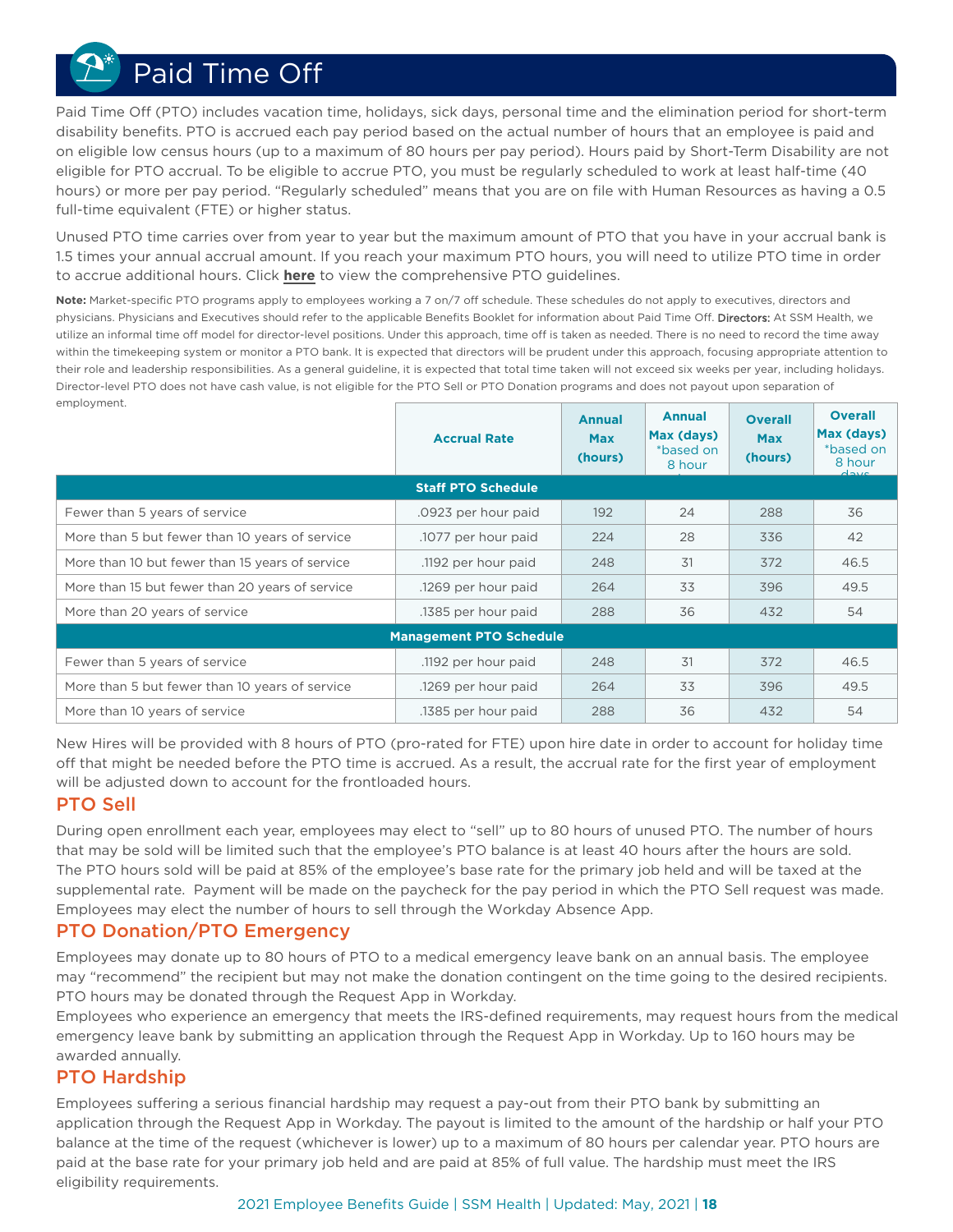## Paid Time Off

Paid Time Off (PTO) includes vacation time, holidays, sick days, personal time and the elimination period for short-term disability benefits. PTO is accrued each pay period based on the actual number of hours that an employee is paid and on eligible low census hours (up to a maximum of 80 hours per pay period). Hours paid by Short-Term Disability are not eligible for PTO accrual. To be eligible to accrue PTO, you must be regularly scheduled to work at least half-time (40 hours) or more per pay period. "Regularly scheduled" means that you are on file with Human Resources as having a 0.5 full-time equivalent (FTE) or higher status.

Unused PTO time carries over from year to year but the maximum amount of PTO that you have in your accrual bank is 1.5 times your annual accrual amount. If you reach your maximum PTO hours, you will need to utilize PTO time in order to accrue additional hours. Click **[here](https://www.ssmhealth.com/employee-benefit-resources)** to view the comprehensive PTO guidelines.

**Note:** Market-specific PTO programs apply to employees working a 7 on/7 off schedule. These schedules do not apply to executives, directors and physicians. Physicians and Executives should refer to the applicable Benefits Booklet for information about Paid Time Off. Directors: At SSM Health, we utilize an informal time off model for director-level positions. Under this approach, time off is taken as needed. There is no need to record the time away within the timekeeping system or monitor a PTO bank. It is expected that directors will be prudent under this approach, focusing appropriate attention to their role and leadership responsibilities. As a general guideline, it is expected that total time taken will not exceed six weeks per year, including holidays. Director-level PTO does not have cash value, is not eligible for the PTO Sell or PTO Donation programs and does not payout upon separation of employment.

|                                                 | <b>Accrual Rate</b>       | <b>Annual</b><br><b>Max</b><br>(hours) | <b>Annual</b><br>Max (days)<br>*based on<br>8 hour | <b>Overall</b><br><b>Max</b><br>(hours) | <b>Overall</b><br>Max (days)<br>*based on<br>8 hour<br>مبرداء |
|-------------------------------------------------|---------------------------|----------------------------------------|----------------------------------------------------|-----------------------------------------|---------------------------------------------------------------|
|                                                 | <b>Staff PTO Schedule</b> |                                        |                                                    |                                         |                                                               |
| Fewer than 5 years of service                   | .0923 per hour paid       | 192                                    | 24                                                 | 288                                     | 36                                                            |
| More than 5 but fewer than 10 years of service  | .1077 per hour paid       | 224                                    | 28                                                 | 336                                     | 42                                                            |
| More than 10 but fewer than 15 years of service | .1192 per hour paid       | 248                                    | 31                                                 | 372                                     | 46.5                                                          |
| More than 15 but fewer than 20 years of service | .1269 per hour paid       | 264                                    | 33                                                 | 396                                     | 49.5                                                          |
| More than 20 years of service                   | .1385 per hour paid       | 288                                    | 36                                                 | 432                                     | 54                                                            |
| <b>Management PTO Schedule</b>                  |                           |                                        |                                                    |                                         |                                                               |
| Fewer than 5 years of service                   | .1192 per hour paid       | 248                                    | 31                                                 | 372                                     | 46.5                                                          |
| More than 5 but fewer than 10 years of service  | .1269 per hour paid       | 264                                    | 33                                                 | 396                                     | 49.5                                                          |
| More than 10 years of service                   | .1385 per hour paid       | 288                                    | 36                                                 | 432                                     | 54                                                            |

New Hires will be provided with 8 hours of PTO (pro-rated for FTE) upon hire date in order to account for holiday time off that might be needed before the PTO time is accrued. As a result, the accrual rate for the first year of employment will be adjusted down to account for the frontloaded hours.

### PTO Sell

During open enrollment each year, employees may elect to "sell" up to 80 hours of unused PTO. The number of hours that may be sold will be limited such that the employee's PTO balance is at least 40 hours after the hours are sold. The PTO hours sold will be paid at 85% of the employee's base rate for the primary job held and will be taxed at the supplemental rate. Payment will be made on the paycheck for the pay period in which the PTO Sell request was made. Employees may elect the number of hours to sell through the Workday Absence App.

### PTO Donation/PTO Emergency

Employees may donate up to 80 hours of PTO to a medical emergency leave bank on an annual basis. The employee may "recommend" the recipient but may not make the donation contingent on the time going to the desired recipients. PTO hours may be donated through the Request App in Workday.

Employees who experience an emergency that meets the IRS-defined requirements, may request hours from the medical emergency leave bank by submitting an application through the Request App in Workday. Up to 160 hours may be awarded annually.

### PTO Hardship

Employees suffering a serious financial hardship may request a pay-out from their PTO bank by submitting an application through the Request App in Workday. The payout is limited to the amount of the hardship or half your PTO balance at the time of the request (whichever is lower) up to a maximum of 80 hours per calendar year. PTO hours are paid at the base rate for your primary job held and are paid at 85% of full value. The hardship must meet the IRS eligibility requirements.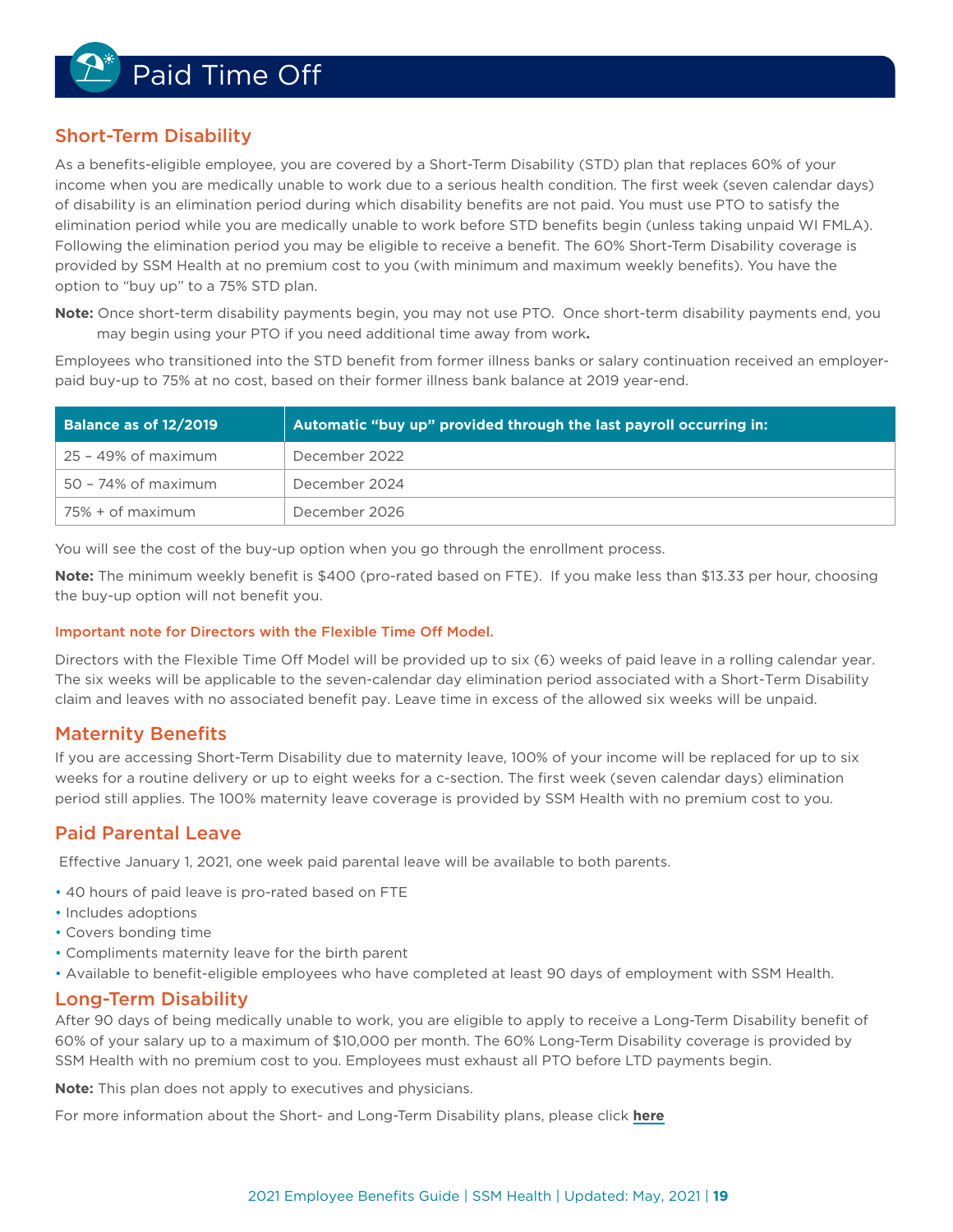### Short-Term Disability

As a benefits-eligible employee, you are covered by a Short-Term Disability (STD) plan that replaces 60% of your income when you are medically unable to work due to a serious health condition. The first week (seven calendar days) of disability is an elimination period during which disability benefits are not paid. You must use PTO to satisfy the elimination period while you are medically unable to work before STD benefits begin (unless taking unpaid WI FMLA). Following the elimination period you may be eligible to receive a benefit. The 60% Short-Term Disability coverage is provided by SSM Health at no premium cost to you (with minimum and maximum weekly benefits). You have the option to "buy up" to a 75% STD plan.

**Note:** Once short-term disability payments begin, you may not use PTO. Once short-term disability payments end, you may begin using your PTO if you need additional time away from work**.**

Employees who transitioned into the STD benefit from former illness banks or salary continuation received an employerpaid buy-up to 75% at no cost, based on their former illness bank balance at 2019 year-end.

| Balance as of 12/2019 | Automatic "buy up" provided through the last payroll occurring in: |
|-----------------------|--------------------------------------------------------------------|
| 25 – 49% of maximum   | December 2022                                                      |
| 50 - 74% of maximum   | December 2024                                                      |
| 75% + of maximum      | December 2026                                                      |

You will see the cost of the buy-up option when you go through the enrollment process.

**Note:** The minimum weekly benefit is \$400 (pro-rated based on FTE). If you make less than \$13.33 per hour, choosing the buy-up option will not benefit you.

#### Important note for Directors with the Flexible Time Off Model.

Directors with the Flexible Time Off Model will be provided up to six (6) weeks of paid leave in a rolling calendar year. The six weeks will be applicable to the seven-calendar day elimination period associated with a Short-Term Disability claim and leaves with no associated benefit pay. Leave time in excess of the allowed six weeks will be unpaid.

### Maternity Benefits

If you are accessing Short-Term Disability due to maternity leave, 100% of your income will be replaced for up to six weeks for a routine delivery or up to eight weeks for a c-section. The first week (seven calendar days) elimination period still applies. The 100% maternity leave coverage is provided by SSM Health with no premium cost to you.

### Paid Parental Leave

Effective January 1, 2021, one week paid parental leave will be available to both parents.

- 40 hours of paid leave is pro-rated based on FTE
- Includes adoptions
- Covers bonding time
- Compliments maternity leave for the birth parent
- Available to benefit-eligible employees who have completed at least 90 days of employment with SSM Health.

### Long-Term Disability

After 90 days of being medically unable to work, you are eligible to apply to receive a Long-Term Disability benefit of 60% of your salary up to a maximum of \$10,000 per month. The 60% Long-Term Disability coverage is provided by SSM Health with no premium cost to you. Employees must exhaust all PTO before LTD payments begin.

**Note:** This plan does not apply to executives and physicians.

For more information about the Short- and Long-Term Disability plans, please click **[here](https://www.ssmhealth.com/employee-benefit-resources)**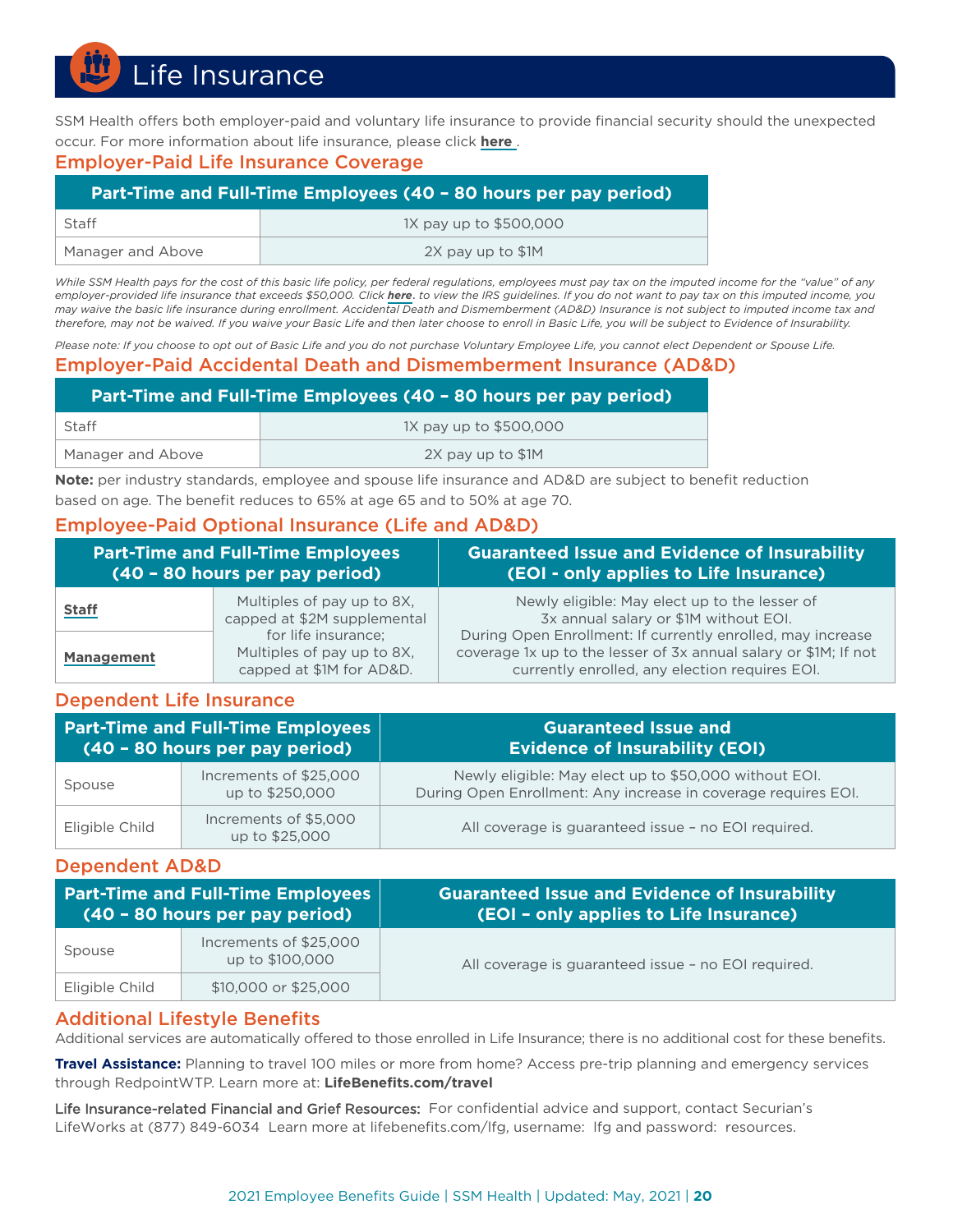Life Insurance

SSM Health offers both employer-paid and voluntary life insurance to provide financial security should the unexpected occur. For more information about life insurance, please click **[here](https://www.ssmhealth.com/employee-benefit-resources)** .

### Employer-Paid Life Insurance Coverage

| Part-Time and Full-Time Employees (40 - 80 hours per pay period) |                        |  |
|------------------------------------------------------------------|------------------------|--|
| Staff                                                            | 1X pay up to \$500,000 |  |
| Manager and Above                                                | 2X pay up to \$1M      |  |

*While SSM Health pays for the cost of this basic life policy, per federal regulations, employees must pay tax on the imputed income for the "value" of any employer-provided life insurance that exceeds \$50,000. Click [here](https://www.irs.gov/government-entities/federal-state-local-governments/group-term-life-insurance)*. *to view the IRS guidelines. If you do not want to pay tax on this imputed income, you may waive the basic life insurance during enrollment. Accidental Death and Dismemberment (AD&D) Insurance is not subject to imputed income tax and therefore, may not be waived. If you waive your Basic Life and then later choose to enroll in Basic Life, you will be subject to Evidence of Insurability.*

*Please note: If you choose to opt out of Basic Life and you do not purchase Voluntary Employee Life, you cannot elect Dependent or Spouse Life.*

### Employer-Paid Accidental Death and Dismemberment Insurance (AD&D)

| Staff             | 1X pay up to \$500,000 |
|-------------------|------------------------|
| Manager and Above | 2X pay up to \$1M      |

**Note:** per industry standards, employee and spouse life insurance and AD&D are subject to benefit reduction based on age. The benefit reduces to 65% at age 65 and to 50% at age 70.

### Employee-Paid Optional Insurance (Life and AD&D)

| <b>Part-Time and Full-Time Employees</b><br>(40 - 80 hours per pay period) |                                                                               | <b>Guaranteed Issue and Evidence of Insurability</b><br>(EOI - only applies to Life Insurance)                                                                                    |
|----------------------------------------------------------------------------|-------------------------------------------------------------------------------|-----------------------------------------------------------------------------------------------------------------------------------------------------------------------------------|
| <b>Staff</b>                                                               | Multiples of pay up to 8X,<br>capped at \$2M supplemental                     | Newly eligible: May elect up to the lesser of<br>3x annual salary or \$1M without EOI.                                                                                            |
| <b>Management</b>                                                          | for life insurance;<br>Multiples of pay up to 8X,<br>capped at \$1M for AD&D. | During Open Enrollment: If currently enrolled, may increase<br>coverage 1x up to the lesser of 3x annual salary or \$1M; If not<br>currently enrolled, any election requires EOI. |

### Dependent Life Insurance

| <b>Part-Time and Full-Time Employees</b><br>(40 - 80 hours per pay period) |                                           | <b>Guaranteed Issue and</b><br><b>Evidence of Insurability (EOI)</b>                                                    |  |
|----------------------------------------------------------------------------|-------------------------------------------|-------------------------------------------------------------------------------------------------------------------------|--|
| Spouse                                                                     | Increments of \$25,000<br>up to \$250,000 | Newly eligible: May elect up to \$50,000 without EOI.<br>During Open Enrollment: Any increase in coverage requires EOI. |  |
| Eligible Child                                                             | Increments of \$5,000<br>up to \$25,000   | All coverage is guaranteed issue - no EOI required.                                                                     |  |

### Dependent AD&D

| <b>Part-Time and Full-Time Employees</b><br>(40 - 80 hours per pay period) |                                           | <b>Guaranteed Issue and Evidence of Insurability</b><br>(EOI - only applies to Life Insurance) |  |
|----------------------------------------------------------------------------|-------------------------------------------|------------------------------------------------------------------------------------------------|--|
| Spouse                                                                     | Increments of \$25,000<br>up to \$100,000 | All coverage is guaranteed issue - no EOI required.                                            |  |
| Eligible Child                                                             | \$10,000 or \$25,000                      |                                                                                                |  |

### Additional Lifestyle Benefits

Additional services are automatically offered to those enrolled in Life Insurance; there is no additional cost for these benefits.

**Travel Assistance:** Planning to travel 100 miles or more from home? Access pre-trip planning and emergency services through RedpointWTP. Learn more at: **[LifeBenefits.com/travel](http://LifeBenefits.com/travel)**

Life Insurance-related Financial and Grief Resources: For confidential advice and support, contact Securian's LifeWorks at (877) 849-6034 Learn more at lifebenefits.com/lfg, username: lfg and password: resources.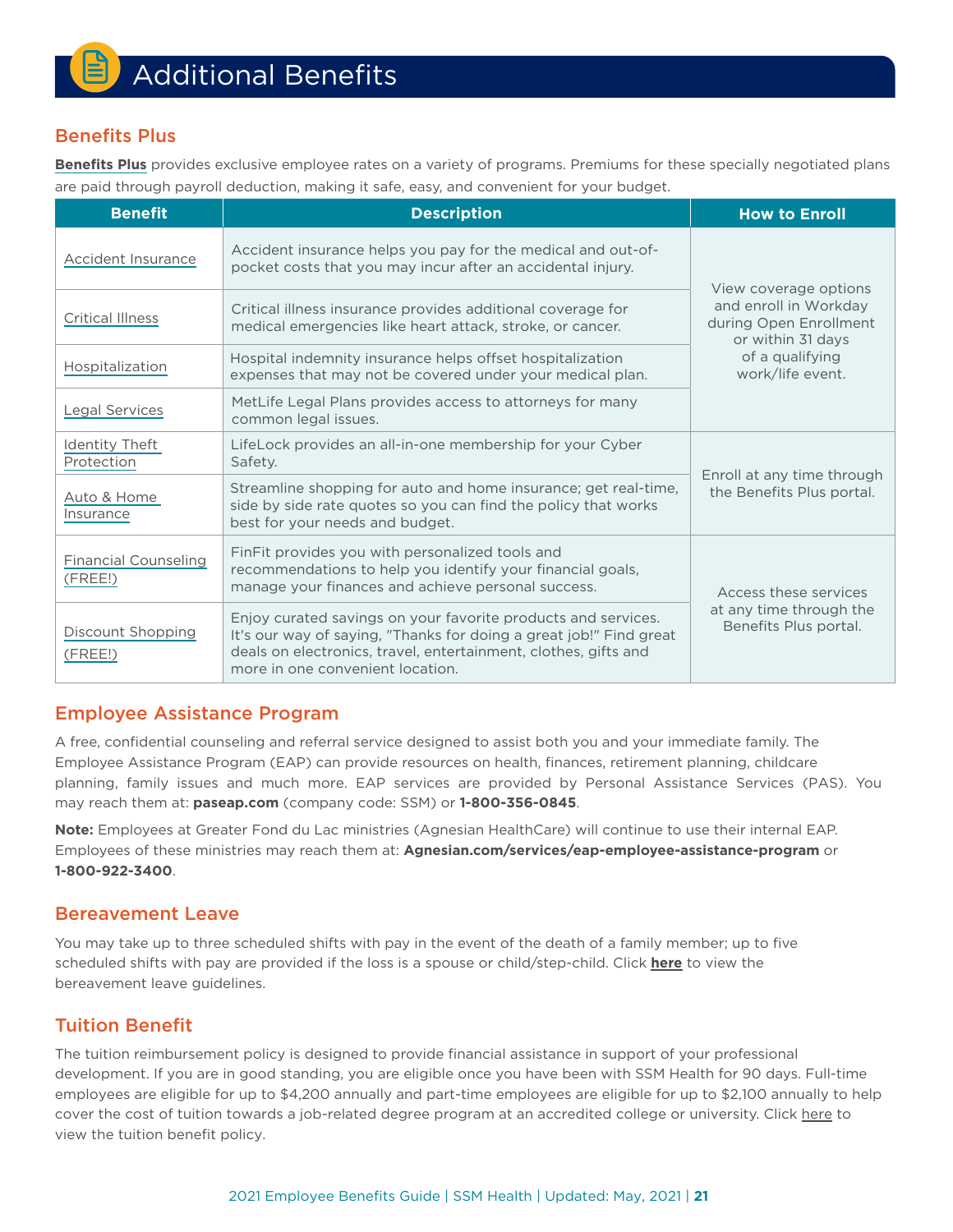### Benefits Plus

**[Benefits Plus](https://adfsa.ssmhealth.com//adfs/ls/idpinitiatedsignon.aspx?LoginToRP=https://ssmhealth.corestream.com)** provides exclusive employee rates on a variety of programs. Premiums for these specially negotiated plans are paid through payroll deduction, making it safe, easy, and convenient for your budget.

| <b>Benefit</b>                         | <b>Description</b>                                                                                                                                                                                                                         | <b>How to Enroll</b>                                                                                        |  |
|----------------------------------------|--------------------------------------------------------------------------------------------------------------------------------------------------------------------------------------------------------------------------------------------|-------------------------------------------------------------------------------------------------------------|--|
| Accident Insurance                     | Accident insurance helps you pay for the medical and out-of-<br>pocket costs that you may incur after an accidental injury.                                                                                                                | View coverage options                                                                                       |  |
| <b>Critical Illness</b>                | Critical illness insurance provides additional coverage for<br>medical emergencies like heart attack, stroke, or cancer.                                                                                                                   | and enroll in Workday<br>during Open Enrollment<br>or within 31 days<br>of a qualifying<br>work/life event. |  |
| Hospitalization                        | Hospital indemnity insurance helps offset hospitalization<br>expenses that may not be covered under your medical plan.                                                                                                                     |                                                                                                             |  |
| Legal Services                         | MetLife Legal Plans provides access to attorneys for many<br>common legal issues.                                                                                                                                                          |                                                                                                             |  |
| Identity Theft<br>Protection           | LifeLock provides an all-in-one membership for your Cyber<br>Safety.                                                                                                                                                                       |                                                                                                             |  |
| Auto & Home<br>Insurance               | Enroll at any time through<br>Streamline shopping for auto and home insurance; get real-time,<br>the Benefits Plus portal.<br>side by side rate quotes so you can find the policy that works<br>best for your needs and budget.            |                                                                                                             |  |
| <b>Financial Counseling</b><br>(FREE!) | FinFit provides you with personalized tools and<br>recommendations to help you identify your financial goals,<br>manage your finances and achieve personal success.                                                                        | Access these services                                                                                       |  |
| Discount Shopping<br>(FREE!)           | Enjoy curated savings on your favorite products and services.<br>It's our way of saying, "Thanks for doing a great job!" Find great<br>deals on electronics, travel, entertainment, clothes, gifts and<br>more in one convenient location. |                                                                                                             |  |

### Employee Assistance Program

A free, confidential counseling and referral service designed to assist both you and your immediate family. The Employee Assistance Program (EAP) can provide resources on health, finances, retirement planning, childcare planning, family issues and much more. EAP services are provided by Personal Assistance Services (PAS). You may reach them at: **[paseap.com](https://www.paseap.com/portal/?auto_log=0c26df4791&_wp_http_referer=%2Flogin%2F&cname=SSM&submit=LOGIN)** (company code: SSM) or **1-800-356-0845**.

**Note:** Employees at Greater Fond du Lac ministries (Agnesian HealthCare) will continue to use their internal EAP. Employees of these ministries may reach them at: **[Agnesian.com/services/eap-employee-assistance-program](http://Agnesian.com/services/eap-employee-assistance-program)** or **1-800-922-3400**.

### Bereavement Leave

You may take up to three scheduled shifts with pay in the event of the death of a family member; up to five scheduled shifts with pay are provided if the loss is a spouse or child/step-child. Click **[here](https://www.ssmhealth.com/employee-benefit-resources)** to view the bereavement leave guidelines.

### Tuition Benefit

The tuition reimbursement policy is designed to provide financial assistance in support of your professional development. If you are in good standing, you are eligible once you have been with SSM Health for 90 days. Full-time employees are eligible for up to \$4,200 annually and part-time employees are eligible for up to \$2,100 annually to help cover the cost of tuition towards a job-related degree program at an accredited college or university. Click [here](https://www.ssmhealth.com/SSMHealth/media/Documents/single-sign-on/tuition-benefit-program.pdf) to view the tuition benefit policy.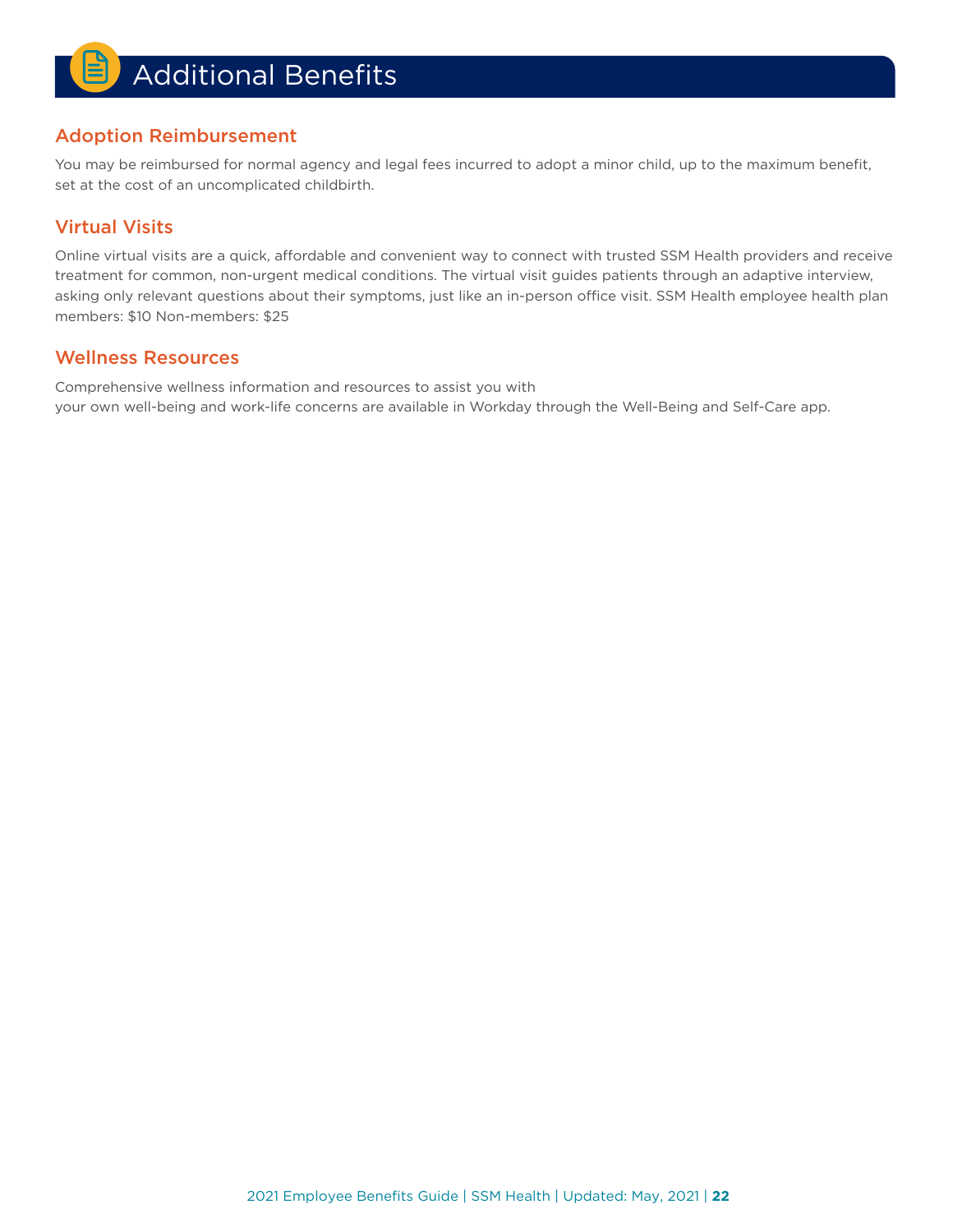### Adoption Reimbursement

You may be reimbursed for normal agency and legal fees incurred to adopt a minor child, up to the maximum benefit, set at the cost of an uncomplicated childbirth.

### Virtual Visits

Online virtual visits are a quick, affordable and convenient way to connect with trusted SSM Health providers and receive treatment for common, non-urgent medical conditions. The virtual visit guides patients through an adaptive interview, asking only relevant questions about their symptoms, just like an in-person office visit. SSM Health employee health plan members: \$10 Non-members: \$25

### Wellness Resources

Comprehensive wellness information and resources to assist you with your own well-being and work-life concerns are available in Workday through the Well-Being and Self-Care app.